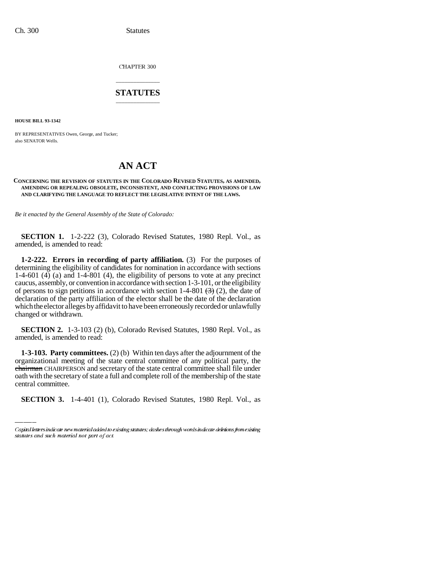CHAPTER 300

# \_\_\_\_\_\_\_\_\_\_\_\_\_\_\_ **STATUTES** \_\_\_\_\_\_\_\_\_\_\_\_\_\_\_

**HOUSE BILL 93-1342**

BY REPRESENTATIVES Owen, George, and Tucker; also SENATOR Wells.

# **AN ACT**

### **CONCERNING THE REVISION OF STATUTES IN THE COLORADO REVISED STATUTES, AS AMENDED, AMENDING OR REPEALING OBSOLETE, INCONSISTENT, AND CONFLICTING PROVISIONS OF LAW AND CLARIFYING THE LANGUAGE TO REFLECT THE LEGISLATIVE INTENT OF THE LAWS.**

*Be it enacted by the General Assembly of the State of Colorado:*

**SECTION 1.** 1-2-222 (3), Colorado Revised Statutes, 1980 Repl. Vol., as amended, is amended to read:

**1-2-222. Errors in recording of party affiliation.** (3) For the purposes of determining the eligibility of candidates for nomination in accordance with sections 1-4-601 (4) (a) and 1-4-801 (4), the eligibility of persons to vote at any precinct caucus, assembly, or convention in accordance with section 1-3-101, or the eligibility of persons to sign petitions in accordance with section 1-4-801  $\left(\frac{3}{2}\right)$  (2), the date of declaration of the party affiliation of the elector shall be the date of the declaration which the elector alleges by affidavit to have been erroneously recorded or unlawfully changed or withdrawn.

**SECTION 2.** 1-3-103 (2) (b), Colorado Revised Statutes, 1980 Repl. Vol., as amended, is amended to read:

chairman CHAIRPERSON and secretary of the state central committee shall file under **1-3-103. Party committees.** (2) (b) Within ten days after the adjournment of the organizational meeting of the state central committee of any political party, the oath with the secretary of state a full and complete roll of the membership of the state central committee.

**SECTION 3.** 1-4-401 (1), Colorado Revised Statutes, 1980 Repl. Vol., as

Capital letters indicate new material added to existing statutes; dashes through words indicate deletions from existing statutes and such material not part of act.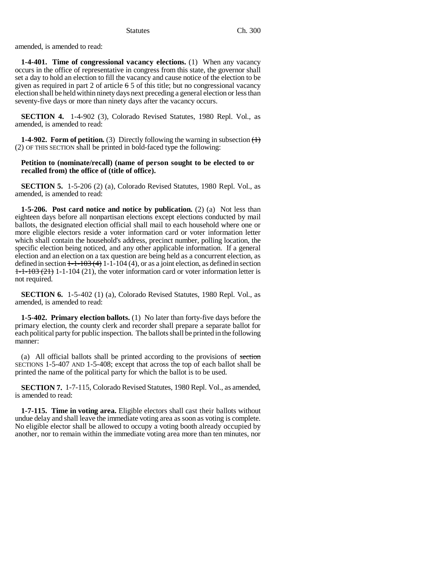amended, is amended to read:

**1-4-401. Time of congressional vacancy elections.** (1) When any vacancy occurs in the office of representative in congress from this state, the governor shall set a day to hold an election to fill the vacancy and cause notice of the election to be given as required in part 2 of article 6 5 of this title; but no congressional vacancy election shall be held within ninety days next preceding a general election or less than seventy-five days or more than ninety days after the vacancy occurs.

**SECTION 4.** 1-4-902 (3), Colorado Revised Statutes, 1980 Repl. Vol., as amended, is amended to read:

**1-4-902. Form of petition.** (3) Directly following the warning in subsection  $\left\langle \cdot \right\rangle$ (2) OF THIS SECTION shall be printed in bold-faced type the following:

## **Petition to (nominate/recall) (name of person sought to be elected to or recalled from) the office of (title of office).**

**SECTION 5.** 1-5-206 (2) (a), Colorado Revised Statutes, 1980 Repl. Vol., as amended, is amended to read:

**1-5-206. Post card notice and notice by publication.** (2) (a) Not less than eighteen days before all nonpartisan elections except elections conducted by mail ballots, the designated election official shall mail to each household where one or more eligible electors reside a voter information card or voter information letter which shall contain the household's address, precinct number, polling location, the specific election being noticed, and any other applicable information. If a general election and an election on a tax question are being held as a concurrent election, as defined in section  $1-1-103(4)$  1-1-104 (4), or as a joint election, as defined in section  $1-1-103$  (21) 1-1-104 (21), the voter information card or voter information letter is not required.

**SECTION 6.** 1-5-402 (1) (a), Colorado Revised Statutes, 1980 Repl. Vol., as amended, is amended to read:

**1-5-402. Primary election ballots.** (1) No later than forty-five days before the primary election, the county clerk and recorder shall prepare a separate ballot for each political party for public inspection. The ballots shall be printed in the following manner:

(a) All official ballots shall be printed according to the provisions of section SECTIONS 1-5-407 AND 1-5-408; except that across the top of each ballot shall be printed the name of the political party for which the ballot is to be used.

**SECTION 7.** 1-7-115, Colorado Revised Statutes, 1980 Repl. Vol., as amended, is amended to read:

**1-7-115. Time in voting area.** Eligible electors shall cast their ballots without undue delay and shall leave the immediate voting area as soon as voting is complete. No eligible elector shall be allowed to occupy a voting booth already occupied by another, nor to remain within the immediate voting area more than ten minutes, nor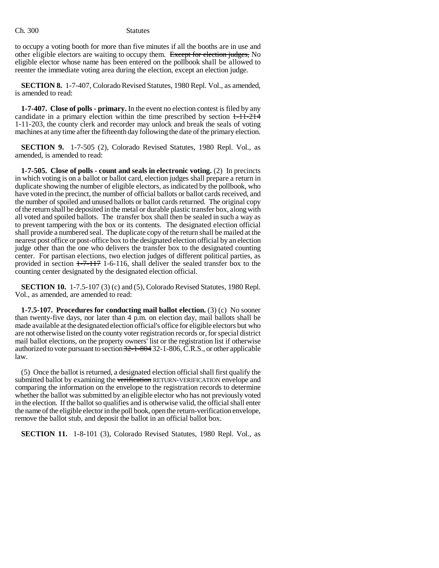to occupy a voting booth for more than five minutes if all the booths are in use and other eligible electors are waiting to occupy them. Except for election judges, No eligible elector whose name has been entered on the pollbook shall be allowed to reenter the immediate voting area during the election, except an election judge.

**SECTION 8.** 1-7-407, Colorado Revised Statutes, 1980 Repl. Vol., as amended, is amended to read:

**1-7-407. Close of polls - primary.** In the event no election contest is filed by any candidate in a primary election within the time prescribed by section 1-11-214 1-11-203, the county clerk and recorder may unlock and break the seals of voting machines at any time after the fifteenth day following the date of the primary election.

**SECTION 9.** 1-7-505 (2), Colorado Revised Statutes, 1980 Repl. Vol., as amended, is amended to read:

**1-7-505. Close of polls - count and seals in electronic voting.** (2) In precincts in which voting is on a ballot or ballot card, election judges shall prepare a return in duplicate showing the number of eligible electors, as indicated by the pollbook, who have voted in the precinct, the number of official ballots or ballot cards received, and the number of spoiled and unused ballots or ballot cards returned. The original copy of the return shall be deposited in the metal or durable plastic transfer box, along with all voted and spoiled ballots. The transfer box shall then be sealed in such a way as to prevent tampering with the box or its contents. The designated election official shall provide a numbered seal. The duplicate copy of the return shall be mailed at the nearest post office or post-office box to the designated election official by an election judge other than the one who delivers the transfer box to the designated counting center. For partisan elections, two election judges of different political parties, as provided in section  $1-7-117$  1-6-116, shall deliver the sealed transfer box to the counting center designated by the designated election official.

**SECTION 10.** 1-7.5-107 (3) (c) and (5), Colorado Revised Statutes, 1980 Repl. Vol., as amended, are amended to read:

**1-7.5-107. Procedures for conducting mail ballot election.** (3) (c) No sooner than twenty-five days, nor later than 4 p.m. on election day, mail ballots shall be made available at the designated election official's office for eligible electors but who are not otherwise listed on the county voter registration records or, for special district mail ballot elections, on the property owners' list or the registration list if otherwise authorized to vote pursuant to section 32-1-804 32-1-806, C.R.S., or other applicable law.

(5) Once the ballot is returned, a designated election official shall first qualify the submitted ballot by examining the verification RETURN-VERIFICATION envelope and comparing the information on the envelope to the registration records to determine whether the ballot was submitted by an eligible elector who has not previously voted in the election. If the ballot so qualifies and is otherwise valid, the official shall enter the name of the eligible elector in the poll book, open the return-verification envelope, remove the ballot stub, and deposit the ballot in an official ballot box.

**SECTION 11.** 1-8-101 (3), Colorado Revised Statutes, 1980 Repl. Vol., as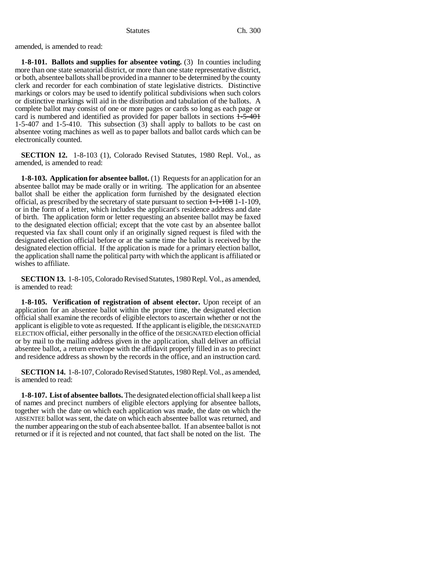amended, is amended to read:

**1-8-101. Ballots and supplies for absentee voting.** (3) In counties including more than one state senatorial district, or more than one state representative district, or both, absentee ballots shall be provided in a manner to be determined by the county clerk and recorder for each combination of state legislative districts. Distinctive markings or colors may be used to identify political subdivisions when such colors or distinctive markings will aid in the distribution and tabulation of the ballots. A complete ballot may consist of one or more pages or cards so long as each page or card is numbered and identified as provided for paper ballots in sections  $1-5-401$ 1-5-407 and 1-5-410. This subsection (3) shall apply to ballots to be cast on absentee voting machines as well as to paper ballots and ballot cards which can be electronically counted.

**SECTION 12.** 1-8-103 (1), Colorado Revised Statutes, 1980 Repl. Vol., as amended, is amended to read:

**1-8-103. Application for absentee ballot.** (1) Requests for an application for an absentee ballot may be made orally or in writing. The application for an absentee ballot shall be either the application form furnished by the designated election official, as prescribed by the secretary of state pursuant to section  $1-1-108$  1-1-109, or in the form of a letter, which includes the applicant's residence address and date of birth. The application form or letter requesting an absentee ballot may be faxed to the designated election official; except that the vote cast by an absentee ballot requested via fax shall count only if an originally signed request is filed with the designated election official before or at the same time the ballot is received by the designated election official. If the application is made for a primary election ballot, the application shall name the political party with which the applicant is affiliated or wishes to affiliate.

**SECTION 13.** 1-8-105, Colorado Revised Statutes, 1980 Repl. Vol., as amended, is amended to read:

**1-8-105. Verification of registration of absent elector.** Upon receipt of an application for an absentee ballot within the proper time, the designated election official shall examine the records of eligible electors to ascertain whether or not the applicant is eligible to vote as requested. If the applicant is eligible, the DESIGNATED ELECTION official, either personally in the office of the DESIGNATED election official or by mail to the mailing address given in the application, shall deliver an official absentee ballot, a return envelope with the affidavit properly filled in as to precinct and residence address as shown by the records in the office, and an instruction card.

**SECTION 14.** 1-8-107, Colorado Revised Statutes, 1980 Repl. Vol., as amended, is amended to read:

**1-8-107. List of absentee ballots.** The designated election official shall keep a list of names and precinct numbers of eligible electors applying for absentee ballots, together with the date on which each application was made, the date on which the ABSENTEE ballot was sent, the date on which each absentee ballot was returned, and the number appearing on the stub of each absentee ballot. If an absentee ballot is not returned or if it is rejected and not counted, that fact shall be noted on the list. The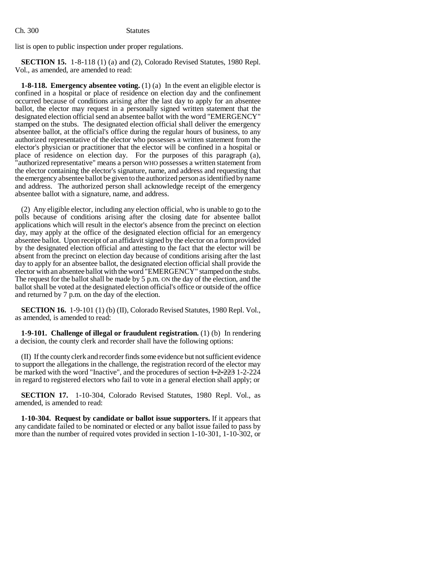list is open to public inspection under proper regulations.

**SECTION 15.** 1-8-118 (1) (a) and (2), Colorado Revised Statutes, 1980 Repl. Vol., as amended, are amended to read:

**1-8-118. Emergency absentee voting.** (1) (a) In the event an eligible elector is confined in a hospital or place of residence on election day and the confinement occurred because of conditions arising after the last day to apply for an absentee ballot, the elector may request in a personally signed written statement that the designated election official send an absentee ballot with the word "EMERGENCY" stamped on the stubs. The designated election official shall deliver the emergency absentee ballot, at the official's office during the regular hours of business, to any authorized representative of the elector who possesses a written statement from the elector's physician or practitioner that the elector will be confined in a hospital or place of residence on election day. For the purposes of this paragraph (a), "authorized representative" means a person WHO possesses a written statement from the elector containing the elector's signature, name, and address and requesting that the emergency absentee ballot be given to the authorized person as identified by name and address. The authorized person shall acknowledge receipt of the emergency absentee ballot with a signature, name, and address.

(2) Any eligible elector, including any election official, who is unable to go to the polls because of conditions arising after the closing date for absentee ballot applications which will result in the elector's absence from the precinct on election day, may apply at the office of the designated election official for an emergency absentee ballot. Upon receipt of an affidavit signed by the elector on a form provided by the designated election official and attesting to the fact that the elector will be absent from the precinct on election day because of conditions arising after the last day to apply for an absentee ballot, the designated election official shall provide the elector with an absentee ballot with the word "EMERGENCY" stamped on the stubs. The request for the ballot shall be made by 5 p.m. ON the day of the election, and the ballot shall be voted at the designated election official's office or outside of the office and returned by 7 p.m. on the day of the election.

**SECTION 16.** 1-9-101 (1) (b) (II), Colorado Revised Statutes, 1980 Repl. Vol., as amended, is amended to read:

**1-9-101. Challenge of illegal or fraudulent registration.** (1) (b) In rendering a decision, the county clerk and recorder shall have the following options:

(II) If the county clerk and recorder finds some evidence but not sufficient evidence to support the allegations in the challenge, the registration record of the elector may be marked with the word "Inactive", and the procedures of section 1-2-223 1-2-224 in regard to registered electors who fail to vote in a general election shall apply; or

**SECTION 17.** 1-10-304, Colorado Revised Statutes, 1980 Repl. Vol., as amended, is amended to read:

**1-10-304. Request by candidate or ballot issue supporters.** If it appears that any candidate failed to be nominated or elected or any ballot issue failed to pass by more than the number of required votes provided in section 1-10-301, 1-10-302, or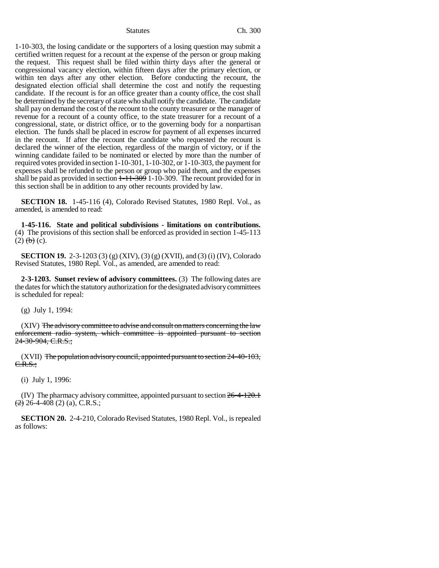1-10-303, the losing candidate or the supporters of a losing question may submit a certified written request for a recount at the expense of the person or group making the request. This request shall be filed within thirty days after the general or congressional vacancy election, within fifteen days after the primary election, or within ten days after any other election. Before conducting the recount, the designated election official shall determine the cost and notify the requesting candidate. If the recount is for an office greater than a county office, the cost shall be determined by the secretary of state who shall notify the candidate. The candidate shall pay on demand the cost of the recount to the county treasurer or the manager of revenue for a recount of a county office, to the state treasurer for a recount of a congressional, state, or district office, or to the governing body for a nonpartisan election. The funds shall be placed in escrow for payment of all expenses incurred in the recount. If after the recount the candidate who requested the recount is declared the winner of the election, regardless of the margin of victory, or if the winning candidate failed to be nominated or elected by more than the number of required votes provided in section 1-10-301, 1-10-302, or 1-10-303, the payment for expenses shall be refunded to the person or group who paid them, and the expenses shall be paid as provided in section  $1-11-309$  1-10-309. The recount provided for in this section shall be in addition to any other recounts provided by law.

**SECTION 18.** 1-45-116 (4), Colorado Revised Statutes, 1980 Repl. Vol., as amended, is amended to read:

**1-45-116. State and political subdivisions - limitations on contributions.** (4) The provisions of this section shall be enforced as provided in section 1-45-113  $(2)$   $(b)$   $(c)$ .

**SECTION 19.** 2-3-1203 (3) (g) (XIV), (3) (g) (XVII), and (3) (i) (IV), Colorado Revised Statutes, 1980 Repl. Vol., as amended, are amended to read:

**2-3-1203. Sunset review of advisory committees.** (3) The following dates are the dates for which the statutory authorization for the designated advisory committees is scheduled for repeal:

(g) July 1, 1994:

(XIV) The advisory committee to advise and consult on matters concerning the law enforcement radio system, which committee is appointed pursuant to section 24-30-904, C.R.S.;

 $(XVII)$  The population advisory council, appointed pursuant to section 24-40-103, C.R.S.;

(i) July 1, 1996:

(IV) The pharmacy advisory committee, appointed pursuant to section 26-4-120.1  $\left(\frac{2}{2}\right)$  26-4-408 (2) (a), C.R.S.;

**SECTION 20.** 2-4-210, Colorado Revised Statutes, 1980 Repl. Vol., is repealed as follows: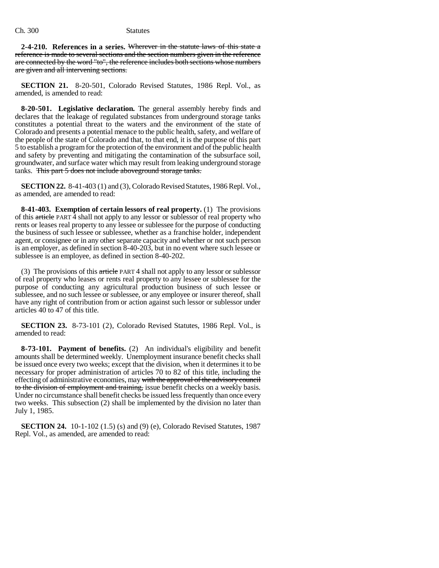**2-4-210. References in a series.** Wherever in the statute laws of this state a reference is made to several sections and the section numbers given in the reference are connected by the word "to", the reference includes both sections whose numbers are given and all intervening sections.

**SECTION 21.** 8-20-501, Colorado Revised Statutes, 1986 Repl. Vol., as amended, is amended to read:

**8-20-501. Legislative declaration.** The general assembly hereby finds and declares that the leakage of regulated substances from underground storage tanks constitutes a potential threat to the waters and the environment of the state of Colorado and presents a potential menace to the public health, safety, and welfare of the people of the state of Colorado and that, to that end, it is the purpose of this part 5 to establish a program for the protection of the environment and of the public health and safety by preventing and mitigating the contamination of the subsurface soil, groundwater, and surface water which may result from leaking underground storage tanks. This part 5 does not include aboveground storage tanks.

**SECTION 22.** 8-41-403 (1) and (3), Colorado Revised Statutes, 1986 Repl. Vol., as amended, are amended to read:

**8-41-403. Exemption of certain lessors of real property.** (1) The provisions of this article PART 4 shall not apply to any lessor or sublessor of real property who rents or leases real property to any lessee or sublessee for the purpose of conducting the business of such lessee or sublessee, whether as a franchise holder, independent agent, or consignee or in any other separate capacity and whether or not such person is an employer, as defined in section 8-40-203, but in no event where such lessee or sublessee is an employee, as defined in section 8-40-202.

(3) The provisions of this article PART 4 shall not apply to any lessor or sublessor of real property who leases or rents real property to any lessee or sublessee for the purpose of conducting any agricultural production business of such lessee or sublessee, and no such lessee or sublessee, or any employee or insurer thereof, shall have any right of contribution from or action against such lessor or sublessor under articles 40 to 47 of this title.

**SECTION 23.** 8-73-101 (2), Colorado Revised Statutes, 1986 Repl. Vol., is amended to read:

**8-73-101. Payment of benefits.** (2) An individual's eligibility and benefit amounts shall be determined weekly. Unemployment insurance benefit checks shall be issued once every two weeks; except that the division, when it determines it to be necessary for proper administration of articles 70 to 82 of this title, including the effecting of administrative economies, may with the approval of the advisory council to the division of employment and training, issue benefit checks on a weekly basis. Under no circumstance shall benefit checks be issued less frequently than once every two weeks. This subsection (2) shall be implemented by the division no later than July 1, 1985.

**SECTION 24.** 10-1-102 (1.5) (s) and (9) (e), Colorado Revised Statutes, 1987 Repl. Vol., as amended, are amended to read: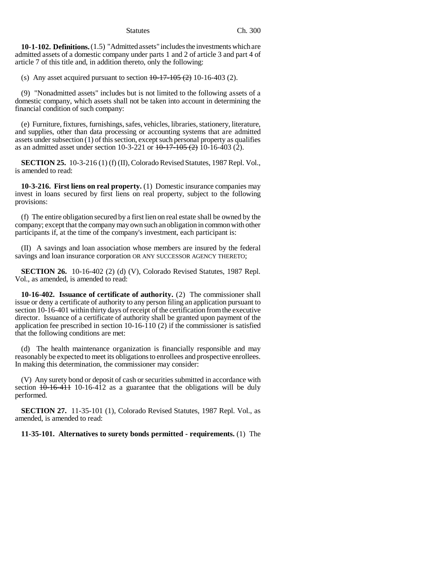**10-1-102. Definitions.** (1.5) "Admitted assets" includes the investments which are admitted assets of a domestic company under parts 1 and 2 of article 3 and part 4 of article 7 of this title and, in addition thereto, only the following:

(s) Any asset acquired pursuant to section  $10-17-105$  (2) 10-16-403 (2).

(9) "Nonadmitted assets" includes but is not limited to the following assets of a domestic company, which assets shall not be taken into account in determining the financial condition of such company:

(e) Furniture, fixtures, furnishings, safes, vehicles, libraries, stationery, literature, and supplies, other than data processing or accounting systems that are admitted assets under subsection (1) of this section, except such personal property as qualifies as an admitted asset under section 10-3-221 or  $10\text{-}17\text{-}105$  (2) 10-16-403 (2).

**SECTION 25.** 10-3-216 (1) (f) (II), Colorado Revised Statutes, 1987 Repl. Vol., is amended to read:

**10-3-216. First liens on real property.** (1) Domestic insurance companies may invest in loans secured by first liens on real property, subject to the following provisions:

(f) The entire obligation secured by a first lien on real estate shall be owned by the company; except that the company may own such an obligation in common with other participants if, at the time of the company's investment, each participant is:

(II) A savings and loan association whose members are insured by the federal savings and loan insurance corporation OR ANY SUCCESSOR AGENCY THERETO;

**SECTION 26.** 10-16-402 (2) (d) (V), Colorado Revised Statutes, 1987 Repl. Vol., as amended, is amended to read:

**10-16-402. Issuance of certificate of authority.** (2) The commissioner shall issue or deny a certificate of authority to any person filing an application pursuant to section 10-16-401 within thirty days of receipt of the certification from the executive director. Issuance of a certificate of authority shall be granted upon payment of the application fee prescribed in section 10-16-110 (2) if the commissioner is satisfied that the following conditions are met:

(d) The health maintenance organization is financially responsible and may reasonably be expected to meet its obligations to enrollees and prospective enrollees. In making this determination, the commissioner may consider:

(V) Any surety bond or deposit of cash or securities submitted in accordance with section  $10-16-411$  10-16-412 as a guarantee that the obligations will be duly performed.

**SECTION 27.** 11-35-101 (1), Colorado Revised Statutes, 1987 Repl. Vol., as amended, is amended to read:

**11-35-101. Alternatives to surety bonds permitted - requirements.** (1) The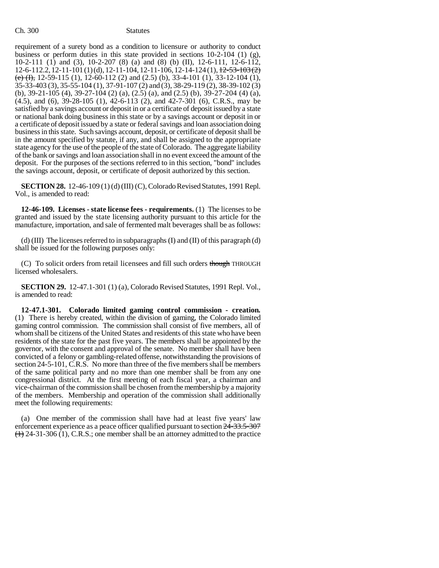### Ch. 300 Statutes

requirement of a surety bond as a condition to licensure or authority to conduct business or perform duties in this state provided in sections  $10-2-104$  (1) (g), 10-2-111 (1) and (3), 10-2-207 (8) (a) and (8) (b) (II), 12-6-111, 12-6-112, 12-6-112.2, 12-11-101 (1) (d), 12-11-104, 12-11-106, 12-14-124 (1), <del>12-53-103 (2)</del> (e) (I), 12-59-115 (1), 12-60-112 (2) and (2.5) (b), 33-4-101 (1), 33-12-104 (1), 35-33-403 (3), 35-55-104 (1), 37-91-107 (2) and (3), 38-29-119 (2), 38-39-102 (3) (b), 39-21-105 (4), 39-27-104 (2) (a), (2.5) (a), and (2.5) (b), 39-27-204 (4) (a), (4.5), and (6), 39-28-105 (1), 42-6-113 (2), and 42-7-301 (6), C.R.S., may be satisfied by a savings account or deposit in or a certificate of deposit issued by a state or national bank doing business in this state or by a savings account or deposit in or a certificate of deposit issued by a state or federal savings and loan association doing business in this state. Such savings account, deposit, or certificate of deposit shall be in the amount specified by statute, if any, and shall be assigned to the appropriate state agency for the use of the people of the state of Colorado. The aggregate liability of the bank or savings and loan association shall in no event exceed the amount of the deposit. For the purposes of the sections referred to in this section, "bond" includes the savings account, deposit, or certificate of deposit authorized by this section.

**SECTION 28.** 12-46-109 (1) (d) (III) (C), Colorado Revised Statutes, 1991 Repl. Vol., is amended to read:

**12-46-109. Licenses - state license fees - requirements.** (1) The licenses to be granted and issued by the state licensing authority pursuant to this article for the manufacture, importation, and sale of fermented malt beverages shall be as follows:

(d) (III) The licenses referred to in subparagraphs (I) and (II) of this paragraph (d) shall be issued for the following purposes only:

(C) To solicit orders from retail licensees and fill such orders though THROUGH licensed wholesalers.

**SECTION 29.** 12-47.1-301 (1) (a), Colorado Revised Statutes, 1991 Repl. Vol., is amended to read:

**12-47.1-301. Colorado limited gaming control commission - creation.** (1) There is hereby created, within the division of gaming, the Colorado limited gaming control commission. The commission shall consist of five members, all of whom shall be citizens of the United States and residents of this state who have been residents of the state for the past five years. The members shall be appointed by the governor, with the consent and approval of the senate. No member shall have been convicted of a felony or gambling-related offense, notwithstanding the provisions of section 24-5-101, C.R.S. No more than three of the five members shall be members of the same political party and no more than one member shall be from any one congressional district. At the first meeting of each fiscal year, a chairman and vice-chairman of the commission shall be chosen from the membership by a majority of the members. Membership and operation of the commission shall additionally meet the following requirements:

(a) One member of the commission shall have had at least five years' law enforcement experience as a peace officer qualified pursuant to section  $24-33.5-307$  $(1)$  24-31-306 (1), C.R.S.; one member shall be an attorney admitted to the practice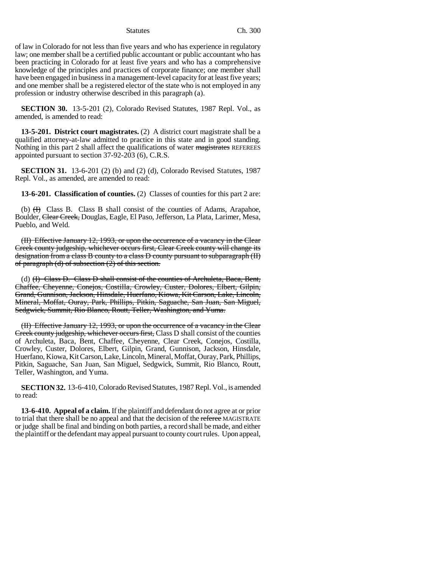of law in Colorado for not less than five years and who has experience in regulatory law; one member shall be a certified public accountant or public accountant who has been practicing in Colorado for at least five years and who has a comprehensive knowledge of the principles and practices of corporate finance; one member shall have been engaged in business in a management-level capacity for at least five years; and one member shall be a registered elector of the state who is not employed in any profession or industry otherwise described in this paragraph (a).

**SECTION 30.** 13-5-201 (2), Colorado Revised Statutes, 1987 Repl. Vol., as amended, is amended to read:

**13-5-201. District court magistrates.** (2) A district court magistrate shall be a qualified attorney-at-law admitted to practice in this state and in good standing. Nothing in this part 2 shall affect the qualifications of water magistrates REFEREES appointed pursuant to section 37-92-203 (6), C.R.S.

**SECTION 31.** 13-6-201 (2) (b) and (2) (d), Colorado Revised Statutes, 1987 Repl. Vol., as amended, are amended to read:

**13-6-201. Classification of counties.** (2) Classes of counties for this part 2 are:

(b)  $(H)$  Class B. Class B shall consist of the counties of Adams, Arapahoe, Boulder, Clear Creek, Douglas, Eagle, El Paso, Jefferson, La Plata, Larimer, Mesa, Pueblo, and Weld.

(II) Effective January 12, 1993, or upon the occurrence of a vacancy in the Clear Creek county judgeship, whichever occurs first, Clear Creek county will change its designation from a class B county to a class D county pursuant to subparagraph (II) of paragraph  $(d)$  of subsection  $(2)$  of this section.

(d) (I) Class D. Class D shall consist of the counties of Archuleta, Baca, Bent, Chaffee, Cheyenne, Conejos, Costilla, Crowley, Custer, Dolores, Elbert, Gilpin, Grand, Gunnison, Jackson, Hinsdale, Huerfano, Kiowa, Kit Carson, Lake, Lincoln, Mineral, Moffat, Ouray, Park, Phillips, Pitkin, Saguache, San Juan, San Miguel, Sedgwick, Summit, Rio Blanco, Routt, Teller, Washington, and Yuma.

(II) Effective January 12, 1993, or upon the occurrence of a vacancy in the Clear Creek county judgeship, whichever occurs first, Class D shall consist of the counties of Archuleta, Baca, Bent, Chaffee, Cheyenne, Clear Creek, Conejos, Costilla, Crowley, Custer, Dolores, Elbert, Gilpin, Grand, Gunnison, Jackson, Hinsdale, Huerfano, Kiowa, Kit Carson, Lake, Lincoln, Mineral, Moffat, Ouray, Park, Phillips, Pitkin, Saguache, San Juan, San Miguel, Sedgwick, Summit, Rio Blanco, Routt, Teller, Washington, and Yuma.

**SECTION 32.** 13-6-410, Colorado Revised Statutes, 1987 Repl. Vol., is amended to read:

**13-6-410. Appeal of a claim.** If the plaintiff and defendant do not agree at or prior to trial that there shall be no appeal and that the decision of the referee MAGISTRATE or judge shall be final and binding on both parties, a record shall be made, and either the plaintiff or the defendant may appeal pursuant to county court rules. Upon appeal,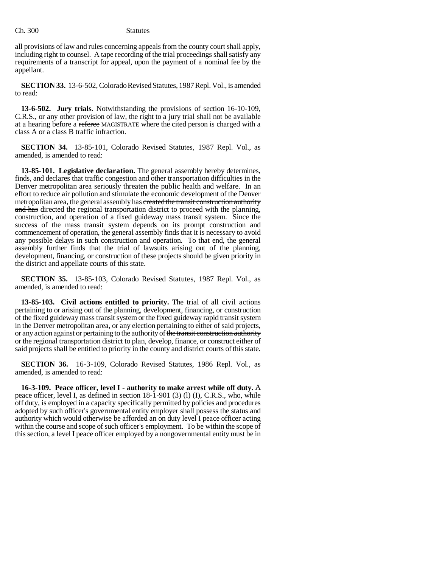Ch. 300 Statutes

all provisions of law and rules concerning appeals from the county court shall apply, including right to counsel. A tape recording of the trial proceedings shall satisfy any requirements of a transcript for appeal, upon the payment of a nominal fee by the appellant.

**SECTION 33.** 13-6-502, Colorado Revised Statutes, 1987 Repl. Vol., is amended to read:

**13-6-502. Jury trials.** Notwithstanding the provisions of section 16-10-109, C.R.S., or any other provision of law, the right to a jury trial shall not be available at a hearing before a referee MAGISTRATE where the cited person is charged with a class A or a class B traffic infraction.

**SECTION 34.** 13-85-101, Colorado Revised Statutes, 1987 Repl. Vol., as amended, is amended to read:

**13-85-101. Legislative declaration.** The general assembly hereby determines, finds, and declares that traffic congestion and other transportation difficulties in the Denver metropolitan area seriously threaten the public health and welfare. In an effort to reduce air pollution and stimulate the economic development of the Denver metropolitan area, the general assembly has created the transit construction authority and has directed the regional transportation district to proceed with the planning, construction, and operation of a fixed guideway mass transit system. Since the success of the mass transit system depends on its prompt construction and commencement of operation, the general assembly finds that it is necessary to avoid any possible delays in such construction and operation. To that end, the general assembly further finds that the trial of lawsuits arising out of the planning, development, financing, or construction of these projects should be given priority in the district and appellate courts of this state.

**SECTION 35.** 13-85-103, Colorado Revised Statutes, 1987 Repl. Vol., as amended, is amended to read:

**13-85-103. Civil actions entitled to priority.** The trial of all civil actions pertaining to or arising out of the planning, development, financing, or construction of the fixed guideway mass transit system or the fixed guideway rapid transit system in the Denver metropolitan area, or any election pertaining to either of said projects, or any action against or pertaining to the authority of the transit construction authority or the regional transportation district to plan, develop, finance, or construct either of said projects shall be entitled to priority in the county and district courts of this state.

**SECTION 36.** 16-3-109, Colorado Revised Statutes, 1986 Repl. Vol., as amended, is amended to read:

**16-3-109. Peace officer, level I - authority to make arrest while off duty.** A peace officer, level I, as defined in section 18-1-901 (3) (l) (I), C.R.S., who, while off duty, is employed in a capacity specifically permitted by policies and procedures adopted by such officer's governmental entity employer shall possess the status and authority which would otherwise be afforded an on duty level I peace officer acting within the course and scope of such officer's employment. To be within the scope of this section, a level I peace officer employed by a nongovernmental entity must be in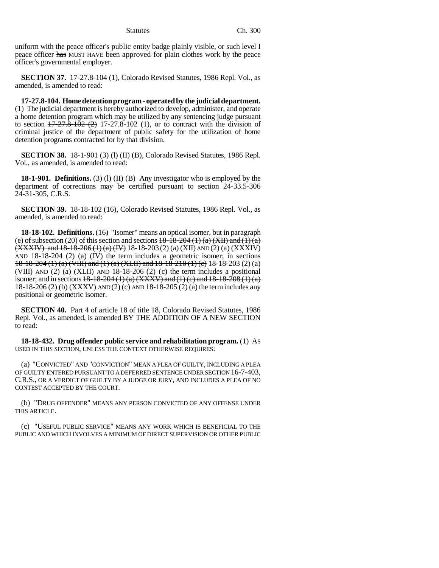uniform with the peace officer's public entity badge plainly visible, or such level I peace officer has MUST HAVE been approved for plain clothes work by the peace officer's governmental employer.

**SECTION 37.** 17-27.8-104 (1), Colorado Revised Statutes, 1986 Repl. Vol., as amended, is amended to read:

**17-27.8-104. Home detention program - operated by the judicial department.** (1) The judicial department is hereby authorized to develop, administer, and operate a home detention program which may be utilized by any sentencing judge pursuant to section  $17-27.8-102$  (2) 17-27.8-102 (1), or to contract with the division of criminal justice of the department of public safety for the utilization of home detention programs contracted for by that division.

**SECTION 38.** 18-1-901 (3) (1) (II) (B), Colorado Revised Statutes, 1986 Repl. Vol., as amended, is amended to read:

**18-1-901. Definitions.** (3) (l) (II) (B) Any investigator who is employed by the department of corrections may be certified pursuant to section 24-33.5-306 24-31-305, C.R.S.

**SECTION 39.** 18-18-102 (16), Colorado Revised Statutes, 1986 Repl. Vol., as amended, is amended to read:

**18-18-102. Definitions.** (16) "Isomer" means an optical isomer, but in paragraph (e) of subsection (20) of this section and sections  $18-18-204$  (1) (a)  $(XH)$  and (1) (a)  $(XXXIV)$  and  $18-18-206(1)(a)(IV)$  18-18-203(2)(a) (XII) AND (2)(a) (XXXIV) AND 18-18-204 (2) (a) (IV) the term includes a geometric isomer; in sections 18-18-204 (1) (a) (VIII) and (1) (a) (XLII) and  $18-18-210$  (1) (c) 18-18-203 (2) (a) (VIII) AND (2) (a) (XLII) AND 18-18-206 (2) (c) the term includes a positional isomer; and in sections  $18-18-204(1)(a)$  (XXXV) and (1) (c) and  $18-18-208(1)(a)$ 18-18-206 (2) (b) (XXXV) AND (2) (c) AND 18-18-205 (2) (a) the term includes any positional or geometric isomer.

**SECTION 40.** Part 4 of article 18 of title 18, Colorado Revised Statutes, 1986 Repl. Vol., as amended, is amended BY THE ADDITION OF A NEW SECTION to read:

**18-18-432. Drug offender public service and rehabilitation program.** (1) AS USED IN THIS SECTION, UNLESS THE CONTEXT OTHERWISE REQUIRES:

(a) "CONVICTED" AND "CONVICTION" MEAN A PLEA OF GUILTY, INCLUDING A PLEA OF GUILTY ENTERED PURSUANT TO A DEFERRED SENTENCE UNDER SECTION 16-7-403, C.R.S., OR A VERDICT OF GUILTY BY A JUDGE OR JURY, AND INCLUDES A PLEA OF NO CONTEST ACCEPTED BY THE COURT.

(b) "DRUG OFFENDER" MEANS ANY PERSON CONVICTED OF ANY OFFENSE UNDER THIS ARTICLE.

(c) "USEFUL PUBLIC SERVICE" MEANS ANY WORK WHICH IS BENEFICIAL TO THE PUBLIC AND WHICH INVOLVES A MINIMUM OF DIRECT SUPERVISION OR OTHER PUBLIC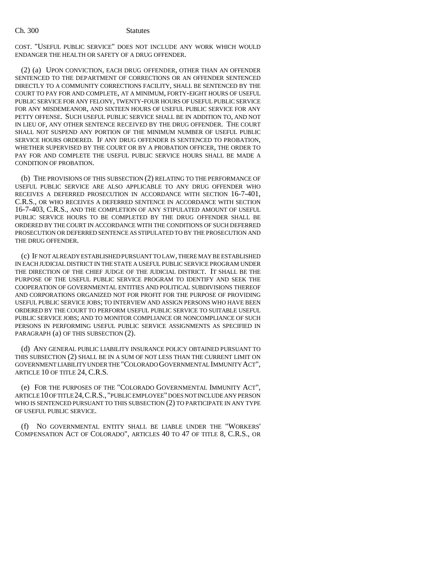COST. "USEFUL PUBLIC SERVICE" DOES NOT INCLUDE ANY WORK WHICH WOULD ENDANGER THE HEALTH OR SAFETY OF A DRUG OFFENDER.

(2) (a) UPON CONVICTION, EACH DRUG OFFENDER, OTHER THAN AN OFFENDER SENTENCED TO THE DEPARTMENT OF CORRECTIONS OR AN OFFENDER SENTENCED DIRECTLY TO A COMMUNITY CORRECTIONS FACILITY, SHALL BE SENTENCED BY THE COURT TO PAY FOR AND COMPLETE, AT A MINIMUM, FORTY-EIGHT HOURS OF USEFUL PUBLIC SERVICE FOR ANY FELONY, TWENTY-FOUR HOURS OF USEFUL PUBLIC SERVICE FOR ANY MISDEMEANOR, AND SIXTEEN HOURS OF USEFUL PUBLIC SERVICE FOR ANY PETTY OFFENSE. SUCH USEFUL PUBLIC SERVICE SHALL BE IN ADDITION TO, AND NOT IN LIEU OF, ANY OTHER SENTENCE RECEIVED BY THE DRUG OFFENDER. THE COURT SHALL NOT SUSPEND ANY PORTION OF THE MINIMUM NUMBER OF USEFUL PUBLIC SERVICE HOURS ORDERED. IF ANY DRUG OFFENDER IS SENTENCED TO PROBATION, WHETHER SUPERVISED BY THE COURT OR BY A PROBATION OFFICER, THE ORDER TO PAY FOR AND COMPLETE THE USEFUL PUBLIC SERVICE HOURS SHALL BE MADE A CONDITION OF PROBATION.

(b) THE PROVISIONS OF THIS SUBSECTION (2) RELATING TO THE PERFORMANCE OF USEFUL PUBLIC SERVICE ARE ALSO APPLICABLE TO ANY DRUG OFFENDER WHO RECEIVES A DEFERRED PROSECUTION IN ACCORDANCE WITH SECTION 16-7-401, C.R.S., OR WHO RECEIVES A DEFERRED SENTENCE IN ACCORDANCE WITH SECTION 16-7-403, C.R.S., AND THE COMPLETION OF ANY STIPULATED AMOUNT OF USEFUL PUBLIC SERVICE HOURS TO BE COMPLETED BY THE DRUG OFFENDER SHALL BE ORDERED BY THE COURT IN ACCORDANCE WITH THE CONDITIONS OF SUCH DEFERRED PROSECUTION OR DEFERRED SENTENCE AS STIPULATED TO BY THE PROSECUTION AND THE DRUG OFFENDER.

(c) IF NOT ALREADY ESTABLISHED PURSUANT TO LAW, THERE MAY BE ESTABLISHED IN EACH JUDICIAL DISTRICT IN THE STATE A USEFUL PUBLIC SERVICE PROGRAM UNDER THE DIRECTION OF THE CHIEF JUDGE OF THE JUDICIAL DISTRICT. IT SHALL BE THE PURPOSE OF THE USEFUL PUBLIC SERVICE PROGRAM TO IDENTIFY AND SEEK THE COOPERATION OF GOVERNMENTAL ENTITIES AND POLITICAL SUBDIVISIONS THEREOF AND CORPORATIONS ORGANIZED NOT FOR PROFIT FOR THE PURPOSE OF PROVIDING USEFUL PUBLIC SERVICE JOBS; TO INTERVIEW AND ASSIGN PERSONS WHO HAVE BEEN ORDERED BY THE COURT TO PERFORM USEFUL PUBLIC SERVICE TO SUITABLE USEFUL PUBLIC SERVICE JOBS; AND TO MONITOR COMPLIANCE OR NONCOMPLIANCE OF SUCH PERSONS IN PERFORMING USEFUL PUBLIC SERVICE ASSIGNMENTS AS SPECIFIED IN PARAGRAPH (a) OF THIS SUBSECTION (2).

(d) ANY GENERAL PUBLIC LIABILITY INSURANCE POLICY OBTAINED PURSUANT TO THIS SUBSECTION (2) SHALL BE IN A SUM OF NOT LESS THAN THE CURRENT LIMIT ON GOVERNMENT LIABILITY UNDER THE "COLORADO GOVERNMENTAL IMMUNITY ACT", ARTICLE 10 OF TITLE 24, C.R.S.

(e) FOR THE PURPOSES OF THE "COLORADO GOVERNMENTAL IMMUNITY ACT", ARTICLE 10 OF TITLE 24,C.R.S., "PUBLIC EMPLOYEE" DOES NOT INCLUDE ANY PERSON WHO IS SENTENCED PURSUANT TO THIS SUBSECTION (2) TO PARTICIPATE IN ANY TYPE OF USEFUL PUBLIC SERVICE.

(f) NO GOVERNMENTAL ENTITY SHALL BE LIABLE UNDER THE "WORKERS' COMPENSATION ACT OF COLORADO", ARTICLES 40 TO 47 OF TITLE 8, C.R.S., OR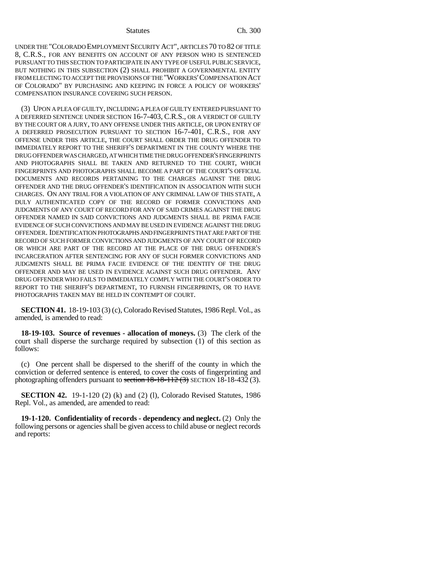UNDER THE "COLORADO EMPLOYMENT SECURITY ACT", ARTICLES 70 TO 82 OF TITLE 8, C.R.S., FOR ANY BENEFITS ON ACCOUNT OF ANY PERSON WHO IS SENTENCED PURSUANT TO THIS SECTION TO PARTICIPATE IN ANY TYPE OF USEFUL PUBLIC SERVICE, BUT NOTHING IN THIS SUBSECTION (2) SHALL PROHIBIT A GOVERNMENTAL ENTITY FROM ELECTING TO ACCEPT THE PROVISIONS OF THE "WORKERS'COMPENSATION ACT OF COLORADO" BY PURCHASING AND KEEPING IN FORCE A POLICY OF WORKERS' COMPENSATION INSURANCE COVERING SUCH PERSON.

(3) UPON A PLEA OF GUILTY, INCLUDING A PLEA OF GUILTY ENTERED PURSUANT TO A DEFERRED SENTENCE UNDER SECTION 16-7-403, C.R.S., OR A VERDICT OF GUILTY BY THE COURT OR A JURY, TO ANY OFFENSE UNDER THIS ARTICLE, OR UPON ENTRY OF A DEFERRED PROSECUTION PURSUANT TO SECTION 16-7-401, C.R.S., FOR ANY OFFENSE UNDER THIS ARTICLE, THE COURT SHALL ORDER THE DRUG OFFENDER TO IMMEDIATELY REPORT TO THE SHERIFF'S DEPARTMENT IN THE COUNTY WHERE THE DRUG OFFENDER WAS CHARGED, AT WHICH TIME THE DRUG OFFENDER'S FINGERPRINTS AND PHOTOGRAPHS SHALL BE TAKEN AND RETURNED TO THE COURT, WHICH FINGERPRINTS AND PHOTOGRAPHS SHALL BECOME A PART OF THE COURT'S OFFICIAL DOCUMENTS AND RECORDS PERTAINING TO THE CHARGES AGAINST THE DRUG OFFENDER AND THE DRUG OFFENDER'S IDENTIFICATION IN ASSOCIATION WITH SUCH CHARGES. ON ANY TRIAL FOR A VIOLATION OF ANY CRIMINAL LAW OF THIS STATE, A DULY AUTHENTICATED COPY OF THE RECORD OF FORMER CONVICTIONS AND JUDGMENTS OF ANY COURT OF RECORD FOR ANY OF SAID CRIMES AGAINST THE DRUG OFFENDER NAMED IN SAID CONVICTIONS AND JUDGMENTS SHALL BE PRIMA FACIE EVIDENCE OF SUCH CONVICTIONS AND MAY BE USED IN EVIDENCE AGAINST THE DRUG OFFENDER. IDENTIFICATION PHOTOGRAPHS AND FINGERPRINTS THAT ARE PART OF THE RECORD OF SUCH FORMER CONVICTIONS AND JUDGMENTS OF ANY COURT OF RECORD OR WHICH ARE PART OF THE RECORD AT THE PLACE OF THE DRUG OFFENDER'S INCARCERATION AFTER SENTENCING FOR ANY OF SUCH FORMER CONVICTIONS AND JUDGMENTS SHALL BE PRIMA FACIE EVIDENCE OF THE IDENTITY OF THE DRUG OFFENDER AND MAY BE USED IN EVIDENCE AGAINST SUCH DRUG OFFENDER. ANY DRUG OFFENDER WHO FAILS TO IMMEDIATELY COMPLY WITH THE COURT'S ORDER TO REPORT TO THE SHERIFF'S DEPARTMENT, TO FURNISH FINGERPRINTS, OR TO HAVE PHOTOGRAPHS TAKEN MAY BE HELD IN CONTEMPT OF COURT.

**SECTION 41.** 18-19-103 (3) (c), Colorado Revised Statutes, 1986 Repl. Vol., as amended, is amended to read:

**18-19-103. Source of revenues - allocation of moneys.** (3) The clerk of the court shall disperse the surcharge required by subsection (1) of this section as follows:

(c) One percent shall be dispersed to the sheriff of the county in which the conviction or deferred sentence is entered, to cover the costs of fingerprinting and photographing offenders pursuant to section  $18-18-112$  (3) SECTION 18-18-432 (3).

**SECTION 42.** 19-1-120 (2) (k) and (2) (l), Colorado Revised Statutes, 1986 Repl. Vol., as amended, are amended to read:

**19-1-120. Confidentiality of records - dependency and neglect.** (2) Only the following persons or agencies shall be given access to child abuse or neglect records and reports: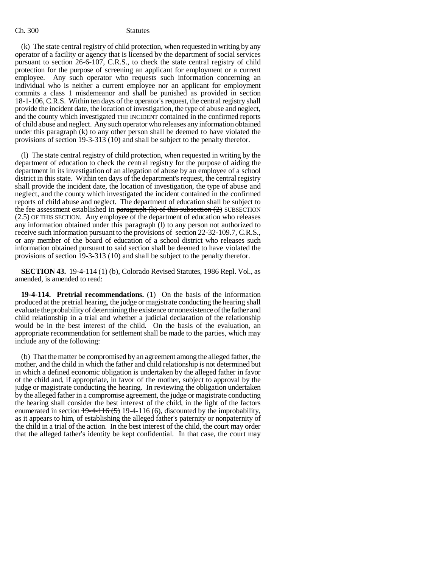(k) The state central registry of child protection, when requested in writing by any operator of a facility or agency that is licensed by the department of social services pursuant to section 26-6-107, C.R.S., to check the state central registry of child protection for the purpose of screening an applicant for employment or a current employee. Any such operator who requests such information concerning an individual who is neither a current employee nor an applicant for employment commits a class 1 misdemeanor and shall be punished as provided in section 18-1-106, C.R.S. Within ten days of the operator's request, the central registry shall provide the incident date, the location of investigation, the type of abuse and neglect, and the county which investigated THE INCIDENT contained in the confirmed reports of child abuse and neglect. Any such operator who releases any information obtained under this paragraph (k) to any other person shall be deemed to have violated the provisions of section 19-3-313 (10) and shall be subject to the penalty therefor.

(l) The state central registry of child protection, when requested in writing by the department of education to check the central registry for the purpose of aiding the department in its investigation of an allegation of abuse by an employee of a school district in this state. Within ten days of the department's request, the central registry shall provide the incident date, the location of investigation, the type of abuse and neglect, and the county which investigated the incident contained in the confirmed reports of child abuse and neglect. The department of education shall be subject to the fee assessment established in  $\frac{1}{2}$  paragraph (k) of this subsection (2) SUBSECTION (2.5) OF THIS SECTION. Any employee of the department of education who releases any information obtained under this paragraph (l) to any person not authorized to receive such information pursuant to the provisions of section 22-32-109.7, C.R.S., or any member of the board of education of a school district who releases such information obtained pursuant to said section shall be deemed to have violated the provisions of section 19-3-313 (10) and shall be subject to the penalty therefor.

**SECTION 43.** 19-4-114 (1) (b), Colorado Revised Statutes, 1986 Repl. Vol., as amended, is amended to read:

**19-4-114. Pretrial recommendations.** (1) On the basis of the information produced at the pretrial hearing, the judge or magistrate conducting the hearing shall evaluate the probability of determining the existence or nonexistence of the father and child relationship in a trial and whether a judicial declaration of the relationship would be in the best interest of the child. On the basis of the evaluation, an appropriate recommendation for settlement shall be made to the parties, which may include any of the following:

(b) That the matter be compromised by an agreement among the alleged father, the mother, and the child in which the father and child relationship is not determined but in which a defined economic obligation is undertaken by the alleged father in favor of the child and, if appropriate, in favor of the mother, subject to approval by the judge or magistrate conducting the hearing. In reviewing the obligation undertaken by the alleged father in a compromise agreement, the judge or magistrate conducting the hearing shall consider the best interest of the child, in the light of the factors enumerated in section  $19-4-116(5)$  19-4-116 (6), discounted by the improbability, as it appears to him, of establishing the alleged father's paternity or nonpaternity of the child in a trial of the action. In the best interest of the child, the court may order that the alleged father's identity be kept confidential. In that case, the court may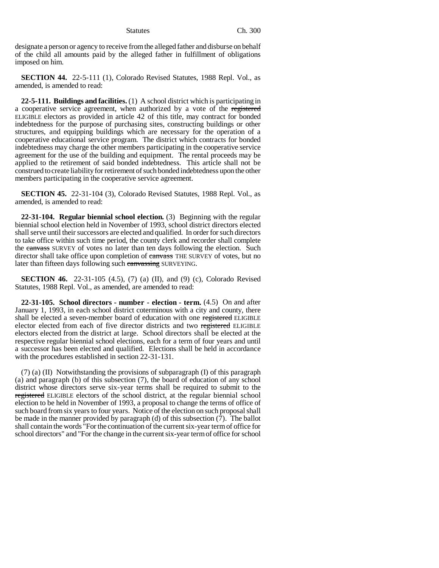designate a person or agency to receive from the alleged father and disburse on behalf of the child all amounts paid by the alleged father in fulfillment of obligations imposed on him.

**SECTION 44.** 22-5-111 (1), Colorado Revised Statutes, 1988 Repl. Vol., as amended, is amended to read:

**22-5-111. Buildings and facilities.** (1) A school district which is participating in a cooperative service agreement, when authorized by a vote of the registered ELIGIBLE electors as provided in article 42 of this title, may contract for bonded indebtedness for the purpose of purchasing sites, constructing buildings or other structures, and equipping buildings which are necessary for the operation of a cooperative educational service program. The district which contracts for bonded indebtedness may charge the other members participating in the cooperative service agreement for the use of the building and equipment. The rental proceeds may be applied to the retirement of said bonded indebtedness. This article shall not be construed to create liability for retirement of such bonded indebtedness upon the other members participating in the cooperative service agreement.

**SECTION 45.** 22-31-104 (3), Colorado Revised Statutes, 1988 Repl. Vol., as amended, is amended to read:

**22-31-104. Regular biennial school election.** (3) Beginning with the regular biennial school election held in November of 1993, school district directors elected shall serve until their successors are elected and qualified. In order for such directors to take office within such time period, the county clerk and recorder shall complete the canvass SURVEY of votes no later than ten days following the election. Such director shall take office upon completion of canvass THE SURVEY of votes, but no later than fifteen days following such canvassing SURVEYING.

**SECTION 46.** 22-31-105 (4.5), (7) (a) (II), and (9) (c), Colorado Revised Statutes, 1988 Repl. Vol., as amended, are amended to read:

**22-31-105. School directors - number - election - term.** (4.5) On and after January 1, 1993, in each school district coterminous with a city and county, there shall be elected a seven-member board of education with one registered ELIGIBLE elector elected from each of five director districts and two registered ELIGIBLE electors elected from the district at large. School directors shall be elected at the respective regular biennial school elections, each for a term of four years and until a successor has been elected and qualified. Elections shall be held in accordance with the procedures established in section 22-31-131.

 $(7)$  (a) (II) Notwithstanding the provisions of subparagraph (I) of this paragraph (a) and paragraph (b) of this subsection (7), the board of education of any school district whose directors serve six-year terms shall be required to submit to the registered ELIGIBLE electors of the school district, at the regular biennial school election to be held in November of 1993, a proposal to change the terms of office of such board from six years to four years. Notice of the election on such proposal shall be made in the manner provided by paragraph (d) of this subsection (7). The ballot shall contain the words "For the continuation of the current six-year term of office for school directors" and "For the change in the current six-year term of office for school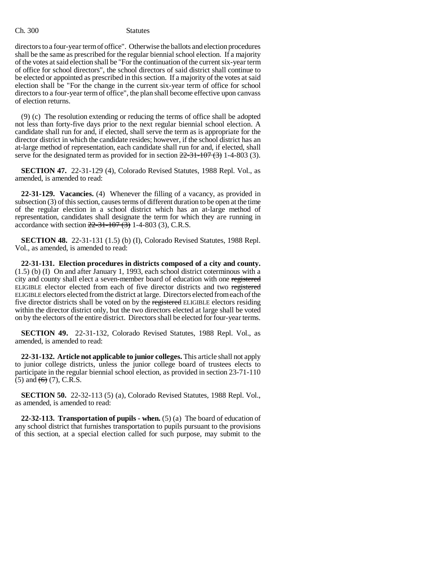directors to a four-year term of office". Otherwise the ballots and election procedures shall be the same as prescribed for the regular biennial school election. If a majority of the votes at said election shall be "For the continuation of the current six-year term of office for school directors", the school directors of said district shall continue to be elected or appointed as prescribed in this section. If a majority of the votes at said election shall be "For the change in the current six-year term of office for school directors to a four-year term of office", the plan shall become effective upon canvass of election returns.

(9) (c) The resolution extending or reducing the terms of office shall be adopted not less than forty-five days prior to the next regular biennial school election. A candidate shall run for and, if elected, shall serve the term as is appropriate for the director district in which the candidate resides; however, if the school district has an at-large method of representation, each candidate shall run for and, if elected, shall serve for the designated term as provided for in section  $22-31-107(3)$  1-4-803 (3).

**SECTION 47.** 22-31-129 (4), Colorado Revised Statutes, 1988 Repl. Vol., as amended, is amended to read:

**22-31-129. Vacancies.** (4) Whenever the filling of a vacancy, as provided in subsection (3) of this section, causes terms of different duration to be open at the time of the regular election in a school district which has an at-large method of representation, candidates shall designate the term for which they are running in accordance with section  $22-31-107(3)$  1-4-803 (3), C.R.S.

**SECTION 48.** 22-31-131 (1.5) (b) (I), Colorado Revised Statutes, 1988 Repl. Vol., as amended, is amended to read:

**22-31-131. Election procedures in districts composed of a city and county.** (1.5) (b) (I) On and after January 1, 1993, each school district coterminous with a city and county shall elect a seven-member board of education with one registered ELIGIBLE elector elected from each of five director districts and two registered ELIGIBLE electors elected from the district at large. Directors elected from each of the five director districts shall be voted on by the registered ELIGIBLE electors residing within the director district only, but the two directors elected at large shall be voted on by the electors of the entire district. Directors shall be elected for four-year terms.

**SECTION 49.** 22-31-132, Colorado Revised Statutes, 1988 Repl. Vol., as amended, is amended to read:

**22-31-132. Article not applicable to junior colleges.** This article shall not apply to junior college districts, unless the junior college board of trustees elects to participate in the regular biennial school election, as provided in section 23-71-110  $(5)$  and  $(6)$   $(7)$ , C.R.S.

**SECTION 50.** 22-32-113 (5) (a), Colorado Revised Statutes, 1988 Repl. Vol., as amended, is amended to read:

**22-32-113. Transportation of pupils - when.** (5) (a) The board of education of any school district that furnishes transportation to pupils pursuant to the provisions of this section, at a special election called for such purpose, may submit to the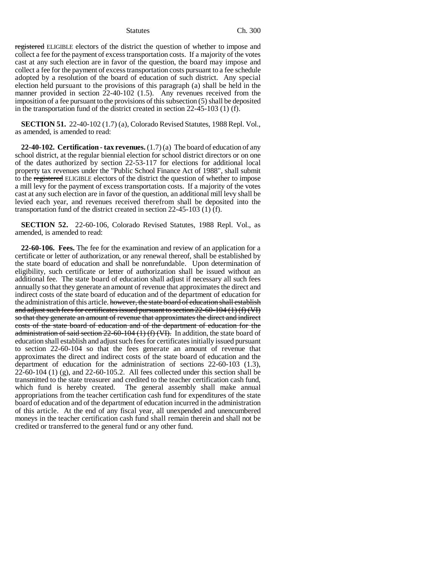registered ELIGIBLE electors of the district the question of whether to impose and collect a fee for the payment of excess transportation costs. If a majority of the votes cast at any such election are in favor of the question, the board may impose and collect a fee for the payment of excess transportation costs pursuant to a fee schedule adopted by a resolution of the board of education of such district. Any special election held pursuant to the provisions of this paragraph (a) shall be held in the manner provided in section 22-40-102 (1.5). Any revenues received from the imposition of a fee pursuant to the provisions of this subsection (5) shall be deposited in the transportation fund of the district created in section 22-45-103 (1) (f).

**SECTION 51.** 22-40-102 (1.7) (a), Colorado Revised Statutes, 1988 Repl. Vol., as amended, is amended to read:

**22-40-102. Certification - tax revenues.** (1.7) (a) The board of education of any school district, at the regular biennial election for school district directors or on one of the dates authorized by section 22-53-117 for elections for additional local property tax revenues under the "Public School Finance Act of 1988", shall submit to the registered ELIGIBLE electors of the district the question of whether to impose a mill levy for the payment of excess transportation costs. If a majority of the votes cast at any such election are in favor of the question, an additional mill levy shall be levied each year, and revenues received therefrom shall be deposited into the transportation fund of the district created in section 22-45-103 (1) (f).

**SECTION 52.** 22-60-106, Colorado Revised Statutes, 1988 Repl. Vol., as amended, is amended to read:

**22-60-106. Fees.** The fee for the examination and review of an application for a certificate or letter of authorization, or any renewal thereof, shall be established by the state board of education and shall be nonrefundable. Upon determination of eligibility, such certificate or letter of authorization shall be issued without an additional fee. The state board of education shall adjust if necessary all such fees annually so that they generate an amount of revenue that approximates the direct and indirect costs of the state board of education and of the department of education for the administration of this article. however, the state board of education shall establish and adjust such fees for certificates issued pursuant to section  $22$ -60-104 (1) (f) (VI) so that they generate an amount of revenue that approximates the direct and indirect costs of the state board of education and of the department of education for the administration of said section  $22$ -60-104 (1) (f) (VI). In addition, the state board of education shall establish and adjust such fees for certificates initially issued pursuant to section 22-60-104 so that the fees generate an amount of revenue that approximates the direct and indirect costs of the state board of education and the department of education for the administration of sections 22-60-103 (1.3),  $22-60-104$  (1) (g), and  $22-60-105.2$ . All fees collected under this section shall be transmitted to the state treasurer and credited to the teacher certification cash fund, which fund is hereby created. The general assembly shall make annual appropriations from the teacher certification cash fund for expenditures of the state board of education and of the department of education incurred in the administration of this article. At the end of any fiscal year, all unexpended and unencumbered moneys in the teacher certification cash fund shall remain therein and shall not be credited or transferred to the general fund or any other fund.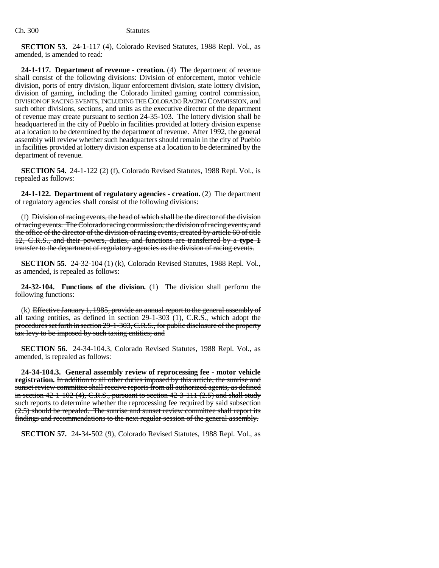**SECTION 53.** 24-1-117 (4), Colorado Revised Statutes, 1988 Repl. Vol., as amended, is amended to read:

**24-1-117. Department of revenue - creation.** (4) The department of revenue shall consist of the following divisions: Division of enforcement, motor vehicle division, ports of entry division, liquor enforcement division, state lottery division, division of gaming, including the Colorado limited gaming control commission, DIVISION OF RACING EVENTS, INCLUDING THE COLORADO RACING COMMISSION, and such other divisions, sections, and units as the executive director of the department of revenue may create pursuant to section 24-35-103. The lottery division shall be headquartered in the city of Pueblo in facilities provided at lottery division expense at a location to be determined by the department of revenue. After 1992, the general assembly will review whether such headquarters should remain in the city of Pueblo in facilities provided at lottery division expense at a location to be determined by the department of revenue.

**SECTION 54.** 24-1-122 (2) (f), Colorado Revised Statutes, 1988 Repl. Vol., is repealed as follows:

**24-1-122. Department of regulatory agencies - creation.** (2) The department of regulatory agencies shall consist of the following divisions:

(f) Division of racing events, the head of which shall be the director of the division of racing events. The Colorado racing commission, the division of racing events, and the office of the director of the division of racing events, created by article 60 of title 12, C.R.S., and their powers, duties, and functions are transferred by a **type 1** transfer to the department of regulatory agencies as the division of racing events.

**SECTION 55.** 24-32-104 (1) (k), Colorado Revised Statutes, 1988 Repl. Vol., as amended, is repealed as follows:

**24-32-104. Functions of the division.** (1) The division shall perform the following functions:

(k) Effective January 1, 1985, provide an annual report to the general assembly of all taxing entities, as defined in section 29-1-303 (1), C.R.S., which adopt the procedures set forth in section 29-1-303, C.R.S., for public disclosure of the property tax levy to be imposed by such taxing entities; and

**SECTION 56.** 24-34-104.3, Colorado Revised Statutes, 1988 Repl. Vol., as amended, is repealed as follows:

**24-34-104.3. General assembly review of reprocessing fee - motor vehicle registration.** In addition to all other duties imposed by this article, the sunrise and sunset review committee shall receive reports from all authorized agents, as defined in section  $42-1-102$  (4), C.R.S., pursuant to section  $42-3-111$  (2.5) and shall study such reports to determine whether the reprocessing fee required by said subsection (2.5) should be repealed. The sunrise and sunset review committee shall report its findings and recommendations to the next regular session of the general assembly.

**SECTION 57.** 24-34-502 (9), Colorado Revised Statutes, 1988 Repl. Vol., as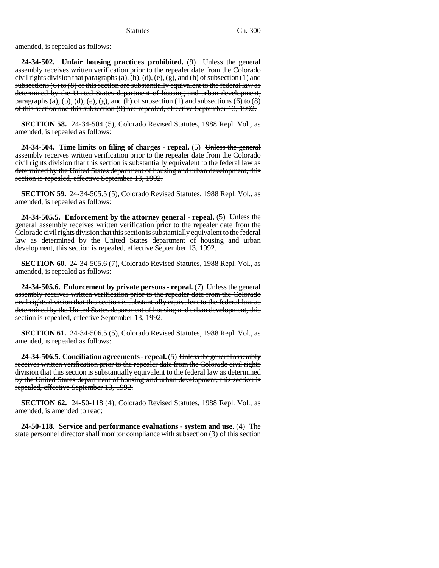amended, is repealed as follows:

24-34-502. Unfair housing practices prohibited. (9) <del>Unless the general</del> assembly receives written verification prior to the repealer date from the Colorado civil rights division that paragraphs  $(a)$ ,  $(b)$ ,  $(d)$ ,  $(e)$ ,  $(g)$ , and  $(h)$  of subsection  $(1)$  and subsections  $(6)$  to  $(8)$  of this section are substantially equivalent to the federal law as determined by the United States department of housing and urban development, paragraphs (a), (b), (d), (e), (g), and (h) of subsection (1) and subsections (6) to (8) of this section and this subsection (9) are repealed, effective September 13, 1992.

**SECTION 58.** 24-34-504 (5), Colorado Revised Statutes, 1988 Repl. Vol., as amended, is repealed as follows:

**24-34-504. Time limits on filing of charges - repeal.** (5) Unless the general assembly receives written verification prior to the repealer date from the Colorado civil rights division that this section is substantially equivalent to the federal law as determined by the United States department of housing and urban development, this section is repealed, effective September 13, 1992.

**SECTION 59.** 24-34-505.5 (5), Colorado Revised Statutes, 1988 Repl. Vol., as amended, is repealed as follows:

**24-34-505.5. Enforcement by the attorney general - repeal.** (5) Unless the general assembly receives written verification prior to the repealer date from the Colorado civil rights division that this section is substantially equivalent to the federal law as determined by the United States department of housing and urban development, this section is repealed, effective September 13, 1992.

**SECTION 60.** 24-34-505.6 (7), Colorado Revised Statutes, 1988 Repl. Vol., as amended, is repealed as follows:

**24-34-505.6. Enforcement by private persons - repeal.** (7) Unless the general assembly receives written verification prior to the repealer date from the Colorado civil rights division that this section is substantially equivalent to the federal law as determined by the United States department of housing and urban development, this section is repealed, effective September 13, 1992.

**SECTION 61.** 24-34-506.5 (5), Colorado Revised Statutes, 1988 Repl. Vol., as amended, is repealed as follows:

**24-34-506.5. Conciliation agreements - repeal.** (5) Unless the general assembly receives written verification prior to the repealer date from the Colorado civil rights division that this section is substantially equivalent to the federal law as determined by the United States department of housing and urban development, this section is repealed, effective September 13, 1992.

**SECTION 62.** 24-50-118 (4), Colorado Revised Statutes, 1988 Repl. Vol., as amended, is amended to read:

**24-50-118. Service and performance evaluations - system and use.** (4) The state personnel director shall monitor compliance with subsection (3) of this section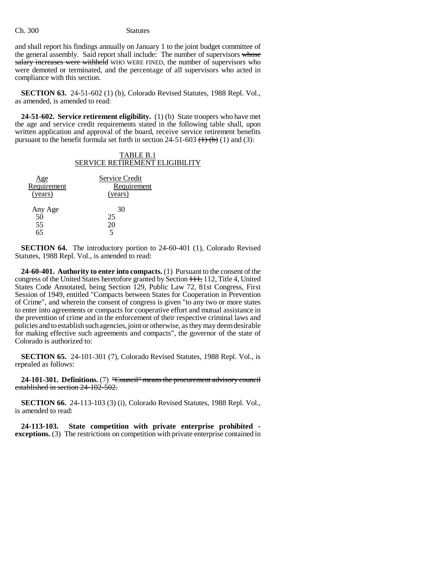and shall report his findings annually on January 1 to the joint budget committee of the general assembly. Said report shall include: The number of supervisors whose salary increases were withheld WHO WERE FINED, the number of supervisors who were demoted or terminated, and the percentage of all supervisors who acted in compliance with this section.

**SECTION 63.** 24-51-602 (1) (b), Colorado Revised Statutes, 1988 Repl. Vol., as amended, is amended to read:

**24-51-602. Service retirement eligibility.** (1) (b) State troopers who have met the age and service credit requirements stated in the following table shall, upon written application and approval of the board, receive service retirement benefits pursuant to the benefit formula set forth in section  $24-51-603$  (1)  $\overline{(b)}$  (1) and (3):

| TABLE B.1                             |
|---------------------------------------|
| <b>SERVICE RETIREMENT ELIGIBILITY</b> |

| Age                       | Service Credit |
|---------------------------|----------------|
| Requirement               | Requirement    |
| (years)                   | (years)        |
| Any Age<br>50<br>55<br>65 | 30<br>25<br>20 |

**SECTION 64.** The introductory portion to 24-60-401 (1), Colorado Revised Statutes, 1988 Repl. Vol., is amended to read:

**24-60-401. Authority to enter into compacts.** (1) Pursuant to the consent of the congress of the United States heretofore granted by Section 111, 112, Title 4, United States Code Annotated, being Section 129, Public Law 72, 81st Congress, First Session of 1949, entitled "Compacts between States for Cooperation in Prevention of Crime", and wherein the consent of congress is given "to any two or more states to enter into agreements or compacts for cooperative effort and mutual assistance in the prevention of crime and in the enforcement of their respective criminal laws and policies and to establish such agencies, joint or otherwise, as they may deem desirable for making effective such agreements and compacts", the governor of the state of Colorado is authorized to:

**SECTION 65.** 24-101-301 (7), Colorado Revised Statutes, 1988 Repl. Vol., is repealed as follows:

**24-101-301. Definitions.** (7) "Council" means the procurement advisory council established in section 24-102-502.

**SECTION 66.** 24-113-103 (3) (i), Colorado Revised Statutes, 1988 Repl. Vol., is amended to read:

**24-113-103. State competition with private enterprise prohibited exceptions.** (3) The restrictions on competition with private enterprise contained in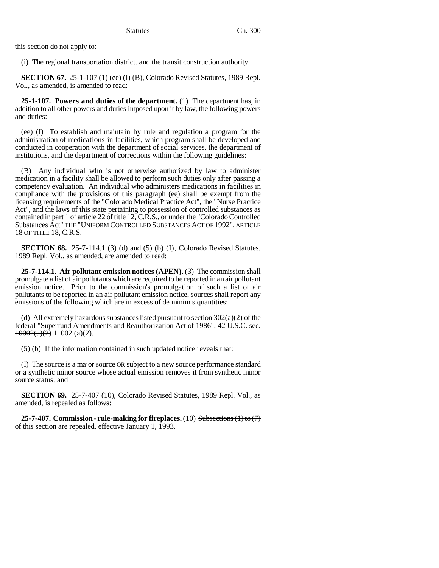this section do not apply to:

(i) The regional transportation district. and the transit construction authority.

**SECTION 67.** 25-1-107 (1) (ee) (I) (B), Colorado Revised Statutes, 1989 Repl. Vol., as amended, is amended to read:

**25-1-107. Powers and duties of the department.** (1) The department has, in addition to all other powers and duties imposed upon it by law, the following powers and duties:

(ee) (I) To establish and maintain by rule and regulation a program for the administration of medications in facilities, which program shall be developed and conducted in cooperation with the department of social services, the department of institutions, and the department of corrections within the following guidelines:

(B) Any individual who is not otherwise authorized by law to administer medication in a facility shall be allowed to perform such duties only after passing a competency evaluation. An individual who administers medications in facilities in compliance with the provisions of this paragraph (ee) shall be exempt from the licensing requirements of the "Colorado Medical Practice Act", the "Nurse Practice Act", and the laws of this state pertaining to possession of controlled substances as contained in part 1 of article 22 of title 12, C.R.S., or under the "Colorado Controlled Substances Act" THE "UNIFORM CONTROLLED SUBSTANCES ACT OF 1992", ARTICLE 18 OF TITLE 18, C.R.S.

**SECTION 68.** 25-7-114.1 (3) (d) and (5) (b) (I), Colorado Revised Statutes, 1989 Repl. Vol., as amended, are amended to read:

**25-7-114.1. Air pollutant emission notices (APEN).** (3) The commission shall promulgate a list of air pollutants which are required to be reported in an air pollutant emission notice. Prior to the commission's promulgation of such a list of air pollutants to be reported in an air pollutant emission notice, sources shall report any emissions of the following which are in excess of de minimis quantities:

(d) All extremely hazardous substances listed pursuant to section  $302(a)(2)$  of the federal "Superfund Amendments and Reauthorization Act of 1986", 42 U.S.C. sec.  $10002(a)(2)$  11002 (a)(2).

(5) (b) If the information contained in such updated notice reveals that:

(I) The source is a major source OR subject to a new source performance standard or a synthetic minor source whose actual emission removes it from synthetic minor source status; and

**SECTION 69.** 25-7-407 (10), Colorado Revised Statutes, 1989 Repl. Vol., as amended, is repealed as follows:

**25-7-407. Commission - rule-making for fireplaces.** (10) Subsections (1) to (7) of this section are repealed, effective January 1, 1993.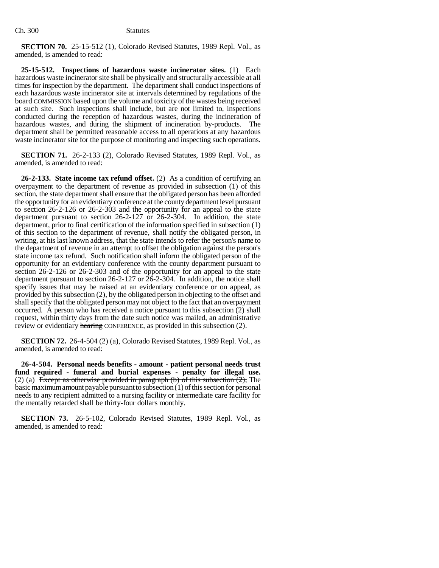**SECTION 70.** 25-15-512 (1), Colorado Revised Statutes, 1989 Repl. Vol., as amended, is amended to read:

**25-15-512. Inspections of hazardous waste incinerator sites.** (1) Each hazardous waste incinerator site shall be physically and structurally accessible at all times for inspection by the department. The department shall conduct inspections of each hazardous waste incinerator site at intervals determined by regulations of the board COMMISSION based upon the volume and toxicity of the wastes being received at such site. Such inspections shall include, but are not limited to, inspections conducted during the reception of hazardous wastes, during the incineration of hazardous wastes, and during the shipment of incineration by-products. The department shall be permitted reasonable access to all operations at any hazardous waste incinerator site for the purpose of monitoring and inspecting such operations.

**SECTION 71.** 26-2-133 (2), Colorado Revised Statutes, 1989 Repl. Vol., as amended, is amended to read:

**26-2-133. State income tax refund offset.** (2) As a condition of certifying an overpayment to the department of revenue as provided in subsection (1) of this section, the state department shall ensure that the obligated person has been afforded the opportunity for an evidentiary conference at the county department level pursuant to section 26-2-126 or 26-2-303 and the opportunity for an appeal to the state department pursuant to section 26-2-127 or 26-2-304. In addition, the state department, prior to final certification of the information specified in subsection (1) of this section to the department of revenue, shall notify the obligated person, in writing, at his last known address, that the state intends to refer the person's name to the department of revenue in an attempt to offset the obligation against the person's state income tax refund. Such notification shall inform the obligated person of the opportunity for an evidentiary conference with the county department pursuant to section 26-2-126 or 26-2-303 and of the opportunity for an appeal to the state department pursuant to section 26-2-127 or 26-2-304. In addition, the notice shall specify issues that may be raised at an evidentiary conference or on appeal, as provided by this subsection (2), by the obligated person in objecting to the offset and shall specify that the obligated person may not object to the fact that an overpayment occurred. A person who has received a notice pursuant to this subsection (2) shall request, within thirty days from the date such notice was mailed, an administrative review or evidentiary hearing CONFERENCE, as provided in this subsection (2).

**SECTION 72.** 26-4-504 (2) (a), Colorado Revised Statutes, 1989 Repl. Vol., as amended, is amended to read:

**26-4-504. Personal needs benefits - amount - patient personal needs trust fund required - funeral and burial expenses - penalty for illegal use.** (2) (a) Except as otherwise provided in paragraph (b) of this subsection  $(2)$ , The basic maximum amount payable pursuant to subsection (1) of this section for personal needs to any recipient admitted to a nursing facility or intermediate care facility for the mentally retarded shall be thirty-four dollars monthly.

**SECTION 73.** 26-5-102, Colorado Revised Statutes, 1989 Repl. Vol., as amended, is amended to read: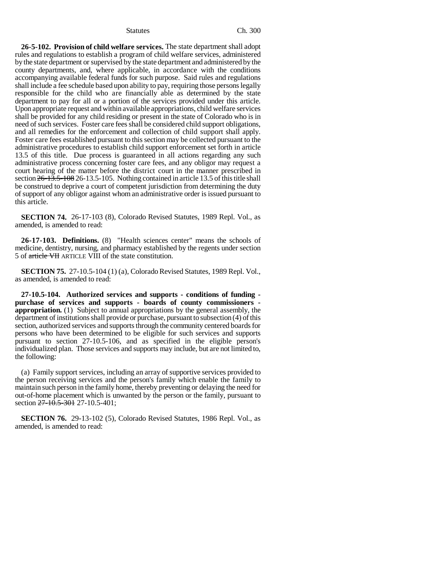**26-5-102. Provision of child welfare services.** The state department shall adopt rules and regulations to establish a program of child welfare services, administered by the state department or supervised by the state department and administered by the county departments, and, where applicable, in accordance with the conditions accompanying available federal funds for such purpose. Said rules and regulations shall include a fee schedule based upon ability to pay, requiring those persons legally responsible for the child who are financially able as determined by the state department to pay for all or a portion of the services provided under this article. Upon appropriate request and within available appropriations, child welfare services shall be provided for any child residing or present in the state of Colorado who is in need of such services. Foster care fees shall be considered child support obligations, and all remedies for the enforcement and collection of child support shall apply. Foster care fees established pursuant to this section may be collected pursuant to the administrative procedures to establish child support enforcement set forth in article 13.5 of this title. Due process is guaranteed in all actions regarding any such administrative process concerning foster care fees, and any obligor may request a court hearing of the matter before the district court in the manner prescribed in section 26-13.5-108 26-13.5-105. Nothing contained in article 13.5 of this title shall be construed to deprive a court of competent jurisdiction from determining the duty of support of any obligor against whom an administrative order is issued pursuant to this article.

**SECTION 74.** 26-17-103 (8), Colorado Revised Statutes, 1989 Repl. Vol., as amended, is amended to read:

**26-17-103. Definitions.** (8) "Health sciences center" means the schools of medicine, dentistry, nursing, and pharmacy established by the regents under section 5 of article VII ARTICLE VIII of the state constitution.

**SECTION 75.** 27-10.5-104 (1) (a), Colorado Revised Statutes, 1989 Repl. Vol., as amended, is amended to read:

**27-10.5-104. Authorized services and supports - conditions of funding purchase of services and supports - boards of county commissioners appropriation.** (1) Subject to annual appropriations by the general assembly, the department of institutions shall provide or purchase, pursuant to subsection (4) of this section, authorized services and supports through the community centered boards for persons who have been determined to be eligible for such services and supports pursuant to section 27-10.5-106, and as specified in the eligible person's individualized plan. Those services and supports may include, but are not limited to, the following:

(a) Family support services, including an array of supportive services provided to the person receiving services and the person's family which enable the family to maintain such person in the family home, thereby preventing or delaying the need for out-of-home placement which is unwanted by the person or the family, pursuant to section 27-10.5-301 27-10.5-401;

**SECTION 76.** 29-13-102 (5), Colorado Revised Statutes, 1986 Repl. Vol., as amended, is amended to read: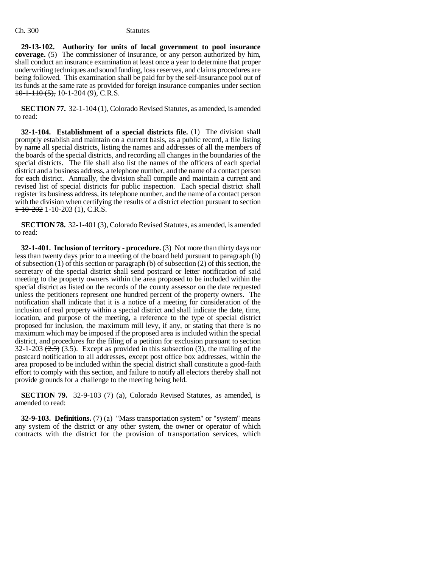**29-13-102. Authority for units of local government to pool insurance coverage.** (5) The commissioner of insurance, or any person authorized by him, shall conduct an insurance examination at least once a year to determine that proper underwriting techniques and sound funding, loss reserves, and claims procedures are being followed. This examination shall be paid for by the self-insurance pool out of its funds at the same rate as provided for foreign insurance companies under section  $10-1-110$  (5), 10-1-204 (9), C.R.S.

**SECTION 77.** 32-1-104 (1), Colorado Revised Statutes, as amended, is amended to read:

**32-1-104. Establishment of a special districts file.** (1) The division shall promptly establish and maintain on a current basis, as a public record, a file listing by name all special districts, listing the names and addresses of all the members of the boards of the special districts, and recording all changes in the boundaries of the special districts. The file shall also list the names of the officers of each special district and a business address, a telephone number, and the name of a contact person for each district. Annually, the division shall compile and maintain a current and revised list of special districts for public inspection. Each special district shall register its business address, its telephone number, and the name of a contact person with the division when certifying the results of a district election pursuant to section  $1-10-202$  1-10-203 (1), C.R.S.

**SECTION 78.** 32-1-401 (3), Colorado Revised Statutes, as amended, is amended to read:

**32-1-401. Inclusion of territory - procedure.** (3) Not more than thirty days nor less than twenty days prior to a meeting of the board held pursuant to paragraph (b) of subsection  $(1)$  of this section or paragraph  $(b)$  of subsection  $(2)$  of this section, the secretary of the special district shall send postcard or letter notification of said meeting to the property owners within the area proposed to be included within the special district as listed on the records of the county assessor on the date requested unless the petitioners represent one hundred percent of the property owners. The notification shall indicate that it is a notice of a meeting for consideration of the inclusion of real property within a special district and shall indicate the date, time, location, and purpose of the meeting, a reference to the type of special district proposed for inclusion, the maximum mill levy, if any, or stating that there is no maximum which may be imposed if the proposed area is included within the special district, and procedures for the filing of a petition for exclusion pursuant to section 32-1-203  $(2.5)$  (3.5). Except as provided in this subsection (3), the mailing of the postcard notification to all addresses, except post office box addresses, within the area proposed to be included within the special district shall constitute a good-faith effort to comply with this section, and failure to notify all electors thereby shall not provide grounds for a challenge to the meeting being held.

**SECTION 79.** 32-9-103 (7) (a), Colorado Revised Statutes, as amended, is amended to read:

**32-9-103. Definitions.** (7) (a) "Mass transportation system" or "system" means any system of the district or any other system, the owner or operator of which contracts with the district for the provision of transportation services, which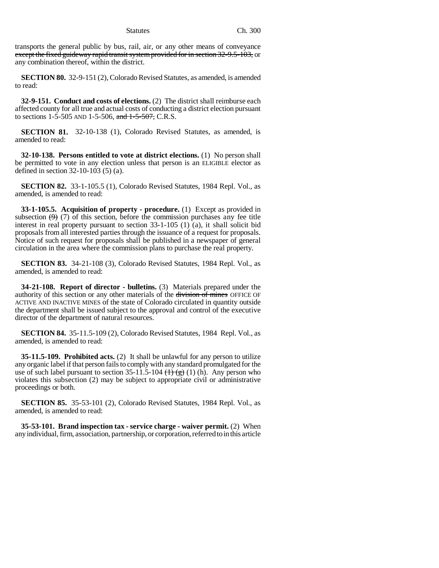transports the general public by bus, rail, air, or any other means of conveyance except the fixed guideway rapid transit system provided for in section 32-9.5-103, or any combination thereof, within the district.

**SECTION 80.** 32-9-151 (2), Colorado Revised Statutes, as amended, is amended to read:

**32-9-151. Conduct and costs of elections.** (2) The district shall reimburse each affected county for all true and actual costs of conducting a district election pursuant to sections 1-5-505 AND 1-5-506, and  $1-5-507$ , C.R.S.

**SECTION 81.** 32-10-138 (1), Colorado Revised Statutes, as amended, is amended to read:

**32-10-138. Persons entitled to vote at district elections.** (1) No person shall be permitted to vote in any election unless that person is an ELIGIBLE elector as defined in section 32-10-103 (5) (a).

**SECTION 82.** 33-1-105.5 (1), Colorado Revised Statutes, 1984 Repl. Vol., as amended, is amended to read:

**33-1-105.5. Acquisition of property - procedure.** (1) Except as provided in subsection  $(9)$  (7) of this section, before the commission purchases any fee title interest in real property pursuant to section 33-1-105 (1) (a), it shall solicit bid proposals from all interested parties through the issuance of a request for proposals. Notice of such request for proposals shall be published in a newspaper of general circulation in the area where the commission plans to purchase the real property.

**SECTION 83.** 34-21-108 (3), Colorado Revised Statutes, 1984 Repl. Vol., as amended, is amended to read:

**34-21-108. Report of director - bulletins.** (3) Materials prepared under the authority of this section or any other materials of the division of mines OFFICE OF ACTIVE AND INACTIVE MINES of the state of Colorado circulated in quantity outside the department shall be issued subject to the approval and control of the executive director of the department of natural resources.

**SECTION 84.** 35-11.5-109 (2), Colorado Revised Statutes, 1984 Repl. Vol., as amended, is amended to read:

**35-11.5-109. Prohibited acts.** (2) It shall be unlawful for any person to utilize any organic label if that person fails to comply with any standard promulgated for the use of such label pursuant to section 35-11.5-104  $(\pm)$   $(\pm)$  (1) (h). Any person who violates this subsection (2) may be subject to appropriate civil or administrative proceedings or both.

**SECTION 85.** 35-53-101 (2), Colorado Revised Statutes, 1984 Repl. Vol., as amended, is amended to read:

**35-53-101. Brand inspection tax - service charge - waiver permit.** (2) When any individual, firm, association, partnership, or corporation, referred to in this article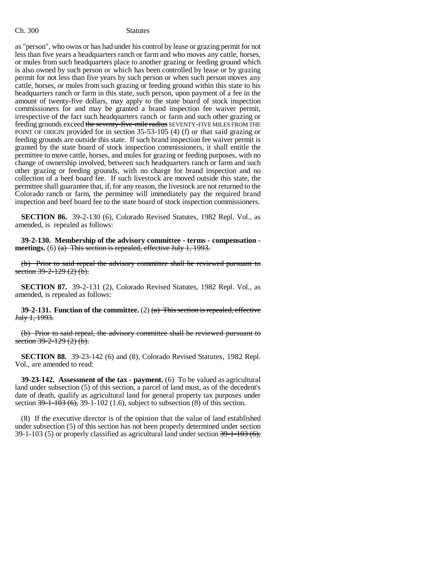as "person", who owns or has had under his control by lease or grazing permit for not less than five years a headquarters ranch or farm and who moves any cattle, horses, or mules from such headquarters place to another grazing or feeding ground which is also owned by such person or which has been controlled by lease or by grazing permit for not less than five years by such person or when such person moves any cattle, horses, or mules from such grazing or feeding ground within this state to his headquarters ranch or farm in this state, such person, upon payment of a fee in the amount of twenty-five dollars, may apply to the state board of stock inspection commissioners for and may be granted a brand inspection fee waiver permit, irrespective of the fact such headquarters ranch or farm and such other grazing or feeding grounds exceed the seventy-five-mile radius SEVENTY-FIVE MILES FROM THE POINT OF ORIGIN provided for in section 35-53-105 (4) (f) or that said grazing or feeding grounds are outside this state. If such brand inspection fee waiver permit is granted by the state board of stock inspection commissioners, it shall entitle the permittee to move cattle, horses, and mules for grazing or feeding purposes, with no change of ownership involved, between such headquarters ranch or farm and such other grazing or feeding grounds, with no charge for brand inspection and no collection of a beef board fee. If such livestock are moved outside this state, the permittee shall guarantee that, if, for any reason, the livestock are not returned to the Colorado ranch or farm, the permittee will immediately pay the required brand inspection and beef board fee to the state board of stock inspection commissioners.

**SECTION 86.** 39-2-130 (6), Colorado Revised Statutes, 1982 Repl. Vol., as amended, is repealed as follows:

**39-2-130. Membership of the advisory committee - terms - compensation meetings.** (6) (a) This section is repealed, effective July 1, 1993.

(b) Prior to said repeal the advisory committee shall be reviewed pursuant to section  $39-2-129(2)$  (b).

**SECTION 87.** 39-2-131 (2), Colorado Revised Statutes, 1982 Repl. Vol., as amended, is repealed as follows:

**39-2-131. Function of the committee.** (2)  $(a)$  This section is repealed, effective July 1, 1993.

(b) Prior to said repeal, the advisory committee shall be reviewed pursuant to section  $39-2-129(2)$  (b).

**SECTION 88.** 39-23-142 (6) and (8), Colorado Revised Statutes, 1982 Repl. Vol., are amended to read:

**39-23-142. Assessment of the tax - payment.** (6) To be valued as agricultural land under subsection (5) of this section, a parcel of land must, as of the decedent's date of death, qualify as agricultural land for general property tax purposes under section  $39-1-103(6)$ ,  $39-1-102(1.6)$ , subject to subsection (8) of this section.

(8) If the executive director is of the opinion that the value of land established under subsection (5) of this section has not been properly determined under section 39-1-103 (5) or properly classified as agricultural land under section 39-1-103 (6),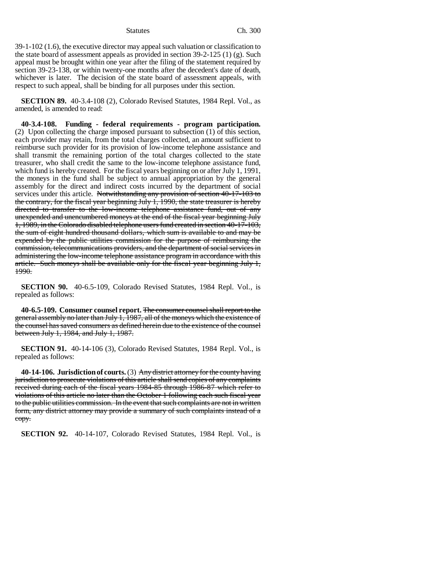39-1-102 (1.6), the executive director may appeal such valuation or classification to the state board of assessment appeals as provided in section 39-2-125 (1) (g). Such appeal must be brought within one year after the filing of the statement required by section 39-23-138, or within twenty-one months after the decedent's date of death, whichever is later. The decision of the state board of assessment appeals, with respect to such appeal, shall be binding for all purposes under this section.

**SECTION 89.** 40-3.4-108 (2), Colorado Revised Statutes, 1984 Repl. Vol., as amended, is amended to read:

**40-3.4-108. Funding - federal requirements - program participation.** (2) Upon collecting the charge imposed pursuant to subsection (1) of this section, each provider may retain, from the total charges collected, an amount sufficient to reimburse such provider for its provision of low-income telephone assistance and shall transmit the remaining portion of the total charges collected to the state treasurer, who shall credit the same to the low-income telephone assistance fund, which fund is hereby created. For the fiscal years beginning on or after July 1, 1991, the moneys in the fund shall be subject to annual appropriation by the general assembly for the direct and indirect costs incurred by the department of social services under this article. Notwithstanding any provision of section 40-17-103 to the contrary, for the fiscal year beginning July 1, 1990, the state treasurer is hereby directed to transfer to the low-income telephone assistance fund, out of any unexpended and unencumbered moneys at the end of the fiscal year beginning July 1, 1989, in the Colorado disabled telephone users fund created in section 40-17-103, the sum of eight hundred thousand dollars, which sum is available to and may be expended by the public utilities commission for the purpose of reimbursing the commission, telecommunications providers, and the department of social services in administering the low-income telephone assistance program in accordance with this article. Such moneys shall be available only for the fiscal year beginning July 1, 1990.

**SECTION 90.** 40-6.5-109, Colorado Revised Statutes, 1984 Repl. Vol., is repealed as follows:

**40-6.5-109. Consumer counsel report.** The consumer counsel shall report to the general assembly no later than July 1, 1987, all of the moneys which the existence of the counsel has saved consumers as defined herein due to the existence of the counsel between July 1, 1984, and July 1, 1987.

**SECTION 91.** 40-14-106 (3), Colorado Revised Statutes, 1984 Repl. Vol., is repealed as follows:

**40-14-106. Jurisdiction of courts.** (3) Any district attorney for the county having jurisdiction to prosecute violations of this article shall send copies of any complaints received during each of the fiscal years 1984-85 through 1986-87 which refer to violations of this article no later than the October 1 following each such fiscal year to the public utilities commission. In the event that such complaints are not in written form, any district attorney may provide a summary of such complaints instead of a copy.

**SECTION 92.** 40-14-107, Colorado Revised Statutes, 1984 Repl. Vol., is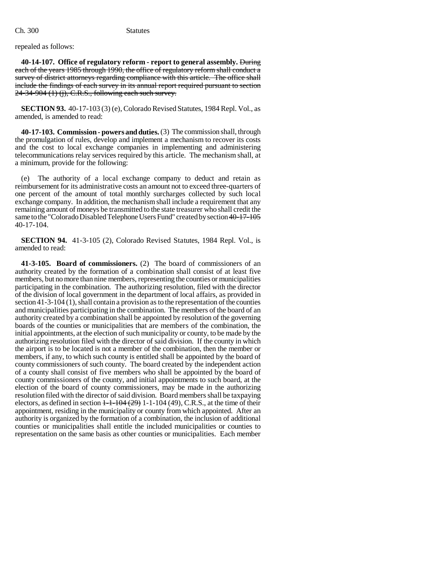### repealed as follows:

**40-14-107. Office of regulatory reform - report to general assembly.** During each of the years 1985 through 1990, the office of regulatory reform shall conduct a survey of district attorneys regarding compliance with this article. The office shall include the findings of each survey in its annual report required pursuant to section  $24-34-904$  (1) (j), C.R.S., following each such survey.

**SECTION 93.** 40-17-103 (3) (e), Colorado Revised Statutes, 1984 Repl. Vol., as amended, is amended to read:

**40-17-103. Commission - powers and duties.** (3) The commission shall, through the promulgation of rules, develop and implement a mechanism to recover its costs and the cost to local exchange companies in implementing and administering telecommunications relay services required by this article. The mechanism shall, at a minimum, provide for the following:

(e) The authority of a local exchange company to deduct and retain as reimbursement for its administrative costs an amount not to exceed three-quarters of one percent of the amount of total monthly surcharges collected by such local exchange company. In addition, the mechanism shall include a requirement that any remaining amount of moneys be transmitted to the state treasurer who shall credit the same to the "Colorado Disabled Telephone Users Fund" created by section 40-17-105 40-17-104.

**SECTION 94.** 41-3-105 (2), Colorado Revised Statutes, 1984 Repl. Vol., is amended to read:

**41-3-105. Board of commissioners.** (2) The board of commissioners of an authority created by the formation of a combination shall consist of at least five members, but no more than nine members, representing the counties or municipalities participating in the combination. The authorizing resolution, filed with the director of the division of local government in the department of local affairs, as provided in section 41-3-104 (1), shall contain a provision as to the representation of the counties and municipalities participating in the combination. The members of the board of an authority created by a combination shall be appointed by resolution of the governing boards of the counties or municipalities that are members of the combination, the initial appointments, at the election of such municipality or county, to be made by the authorizing resolution filed with the director of said division. If the county in which the airport is to be located is not a member of the combination, then the member or members, if any, to which such county is entitled shall be appointed by the board of county commissioners of such county. The board created by the independent action of a county shall consist of five members who shall be appointed by the board of county commissioners of the county, and initial appointments to such board, at the election of the board of county commissioners, may be made in the authorizing resolution filed with the director of said division. Board members shall be taxpaying electors, as defined in section  $1-1-104$  (29)  $1-1-104$  (49), C.R.S., at the time of their appointment, residing in the municipality or county from which appointed. After an authority is organized by the formation of a combination, the inclusion of additional counties or municipalities shall entitle the included municipalities or counties to representation on the same basis as other counties or municipalities. Each member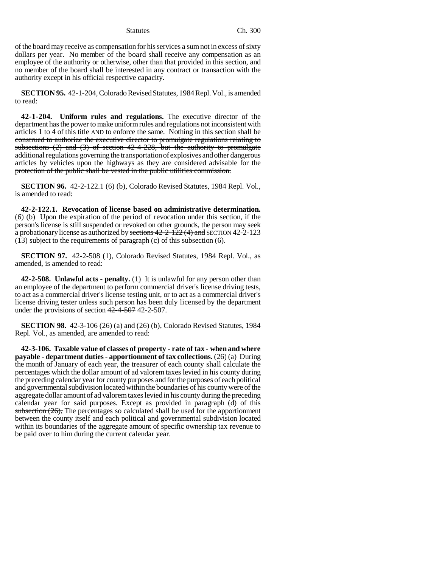of the board may receive as compensation for his services a sum not in excess of sixty dollars per year. No member of the board shall receive any compensation as an employee of the authority or otherwise, other than that provided in this section, and no member of the board shall be interested in any contract or transaction with the authority except in his official respective capacity.

**SECTION 95.** 42-1-204, Colorado Revised Statutes, 1984 Repl. Vol., is amended to read:

**42-1-204. Uniform rules and regulations.** The executive director of the department has the power to make uniform rules and regulations not inconsistent with articles 1 to 4 of this title AND to enforce the same. Nothing in this section shall be construed to authorize the executive director to promulgate regulations relating to subsections  $(2)$  and  $(3)$  of section 42-4-228, but the authority to promulgate additional regulations governing the transportation of explosives and other dangerous articles by vehicles upon the highways as they are considered advisable for the protection of the public shall be vested in the public utilities commission.

**SECTION 96.** 42-2-122.1 (6) (b), Colorado Revised Statutes, 1984 Repl. Vol., is amended to read:

**42-2-122.1. Revocation of license based on administrative determination.** (6) (b) Upon the expiration of the period of revocation under this section, if the person's license is still suspended or revoked on other grounds, the person may seek a probationary license as authorized by sections 42-2-122 (4) and SECTION 42-2-123 (13) subject to the requirements of paragraph (c) of this subsection (6).

**SECTION 97.** 42-2-508 (1), Colorado Revised Statutes, 1984 Repl. Vol., as amended, is amended to read:

**42-2-508. Unlawful acts - penalty.** (1) It is unlawful for any person other than an employee of the department to perform commercial driver's license driving tests, to act as a commercial driver's license testing unit, or to act as a commercial driver's license driving tester unless such person has been duly licensed by the department under the provisions of section  $42-4-507$  42-2-507.

**SECTION 98.** 42-3-106 (26) (a) and (26) (b), Colorado Revised Statutes, 1984 Repl. Vol., as amended, are amended to read:

**42-3-106. Taxable value of classes of property - rate of tax - when and where payable - department duties - apportionment of tax collections.** (26) (a) During the month of January of each year, the treasurer of each county shall calculate the percentages which the dollar amount of ad valorem taxes levied in his county during the preceding calendar year for county purposes and for the purposes of each political and governmental subdivision located within the boundaries of his county were of the aggregate dollar amount of ad valorem taxes levied in his county during the preceding calendar year for said purposes. Except as provided in paragraph (d) of this subsection  $(26)$ , The percentages so calculated shall be used for the apportionment between the county itself and each political and governmental subdivision located within its boundaries of the aggregate amount of specific ownership tax revenue to be paid over to him during the current calendar year.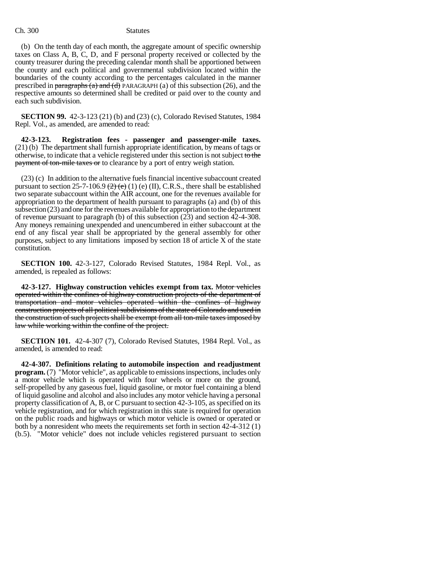### Ch. 300 Statutes

(b) On the tenth day of each month, the aggregate amount of specific ownership taxes on Class A, B, C, D, and F personal property received or collected by the county treasurer during the preceding calendar month shall be apportioned between the county and each political and governmental subdivision located within the boundaries of the county according to the percentages calculated in the manner prescribed in paragraphs (a) and (d) PARAGRAPH (a) of this subsection (26), and the respective amounts so determined shall be credited or paid over to the county and each such subdivision.

**SECTION 99.** 42-3-123 (21) (b) and (23) (c), Colorado Revised Statutes, 1984 Repl. Vol., as amended, are amended to read:

**42-3-123. Registration fees - passenger and passenger-mile taxes.** (21) (b) The department shall furnish appropriate identification, by means of tags or otherwise, to indicate that a vehicle registered under this section is not subject to the payment of ton-mile taxes or to clearance by a port of entry weigh station.

(23) (c) In addition to the alternative fuels financial incentive subaccount created pursuant to section 25-7-106.9  $(2)$  (e) (1) (e) (II), C.R.S., there shall be established two separate subaccount within the AIR account, one for the revenues available for appropriation to the department of health pursuant to paragraphs (a) and (b) of this subsection (23) and one for the revenues available for appropriation to the department of revenue pursuant to paragraph (b) of this subsection (23) and section 42-4-308. Any moneys remaining unexpended and unencumbered in either subaccount at the end of any fiscal year shall be appropriated by the general assembly for other purposes, subject to any limitations imposed by section 18 of article X of the state constitution.

**SECTION 100.** 42-3-127, Colorado Revised Statutes, 1984 Repl. Vol., as amended, is repealed as follows:

**42-3-127. Highway construction vehicles exempt from tax.** Motor vehicles operated within the confines of highway construction projects of the department of transportation and motor vehicles operated within the confines of highway construction projects of all political subdivisions of the state of Colorado and used in the construction of such projects shall be exempt from all ton-mile taxes imposed by law while working within the confine of the project.

**SECTION 101.** 42-4-307 (7), Colorado Revised Statutes, 1984 Repl. Vol., as amended, is amended to read:

**42-4-307. Definitions relating to automobile inspection and readjustment program.** (7) "Motor vehicle", as applicable to emissions inspections, includes only a motor vehicle which is operated with four wheels or more on the ground, self-propelled by any gaseous fuel, liquid gasoline, or motor fuel containing a blend of liquid gasoline and alcohol and also includes any motor vehicle having a personal property classification of A, B, or C pursuant to section 42-3-105, as specified on its vehicle registration, and for which registration in this state is required for operation on the public roads and highways or which motor vehicle is owned or operated or both by a nonresident who meets the requirements set forth in section 42-4-312 (1) (b.5). "Motor vehicle" does not include vehicles registered pursuant to section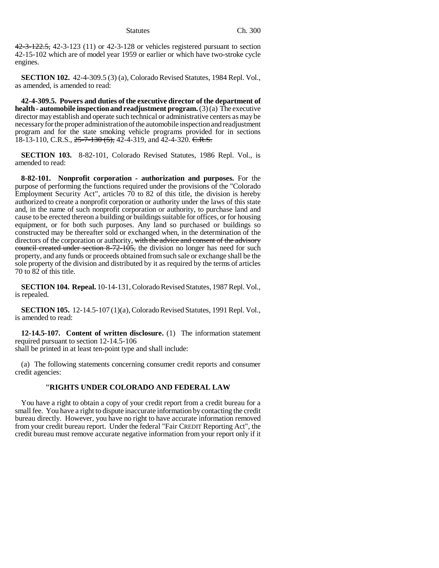42-3-122.5, 42-3-123 (11) or 42-3-128 or vehicles registered pursuant to section 42-15-102 which are of model year 1959 or earlier or which have two-stroke cycle engines.

**SECTION 102.** 42-4-309.5 (3) (a), Colorado Revised Statutes, 1984 Repl. Vol., as amended, is amended to read:

**42-4-309.5. Powers and duties of the executive director of the department of health - automobile inspection and readjustment program.** (3) (a) The executive director may establish and operate such technical or administrative centers as may be necessary for the proper administration of the automobile inspection and readjustment program and for the state smoking vehicle programs provided for in sections 18-13-110, C.R.S.,  $25-7-130$  (5),  $42-4-319$ , and  $42-4-320$ . C.R.S.

**SECTION 103.** 8-82-101, Colorado Revised Statutes, 1986 Repl. Vol., is amended to read:

**8-82-101. Nonprofit corporation - authorization and purposes.** For the purpose of performing the functions required under the provisions of the "Colorado Employment Security Act", articles 70 to 82 of this title, the division is hereby authorized to create a nonprofit corporation or authority under the laws of this state and, in the name of such nonprofit corporation or authority, to purchase land and cause to be erected thereon a building or buildings suitable for offices, or for housing equipment, or for both such purposes. Any land so purchased or buildings so constructed may be thereafter sold or exchanged when, in the determination of the directors of the corporation or authority, with the advice and consent of the advisory council created under section 8-72-105, the division no longer has need for such property, and any funds or proceeds obtained from such sale or exchange shall be the sole property of the division and distributed by it as required by the terms of articles 70 to 82 of this title.

**SECTION 104. Repeal.** 10-14-131, Colorado Revised Statutes, 1987 Repl. Vol., is repealed.

**SECTION 105.** 12-14.5-107 (1)(a), Colorado Revised Statutes, 1991 Repl. Vol., is amended to read:

**12-14.5-107. Content of written disclosure.** (1) The information statement required pursuant to section 12-14.5-106 shall be printed in at least ten-point type and shall include:

(a) The following statements concerning consumer credit reports and consumer credit agencies:

## **"RIGHTS UNDER COLORADO AND FEDERAL LAW**

You have a right to obtain a copy of your credit report from a credit bureau for a small fee. You have a right to dispute inaccurate information by contacting the credit bureau directly. However, you have no right to have accurate information removed from your credit bureau report. Under the federal "Fair CREDIT Reporting Act", the credit bureau must remove accurate negative information from your report only if it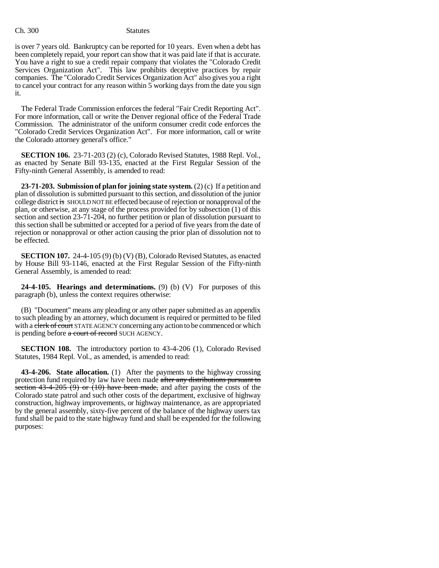Ch. 300 Statutes

is over 7 years old. Bankruptcy can be reported for 10 years. Even when a debt has been completely repaid, your report can show that it was paid late if that is accurate. You have a right to sue a credit repair company that violates the "Colorado Credit Services Organization Act". This law prohibits deceptive practices by repair companies. The "Colorado Credit Services Organization Act" also gives you a right to cancel your contract for any reason within 5 working days from the date you sign it.

The Federal Trade Commission enforces the federal "Fair Credit Reporting Act". For more information, call or write the Denver regional office of the Federal Trade Commission. The administrator of the uniform consumer credit code enforces the "Colorado Credit Services Organization Act". For more information, call or write the Colorado attorney general's office."

**SECTION 106.** 23-71-203 (2) (c), Colorado Revised Statutes, 1988 Repl. Vol., as enacted by Senate Bill 93-135, enacted at the First Regular Session of the Fifty-ninth General Assembly, is amended to read:

**23-71-203. Submission of plan for joining state system.** (2) (c) If a petition and plan of dissolution is submitted pursuant to this section, and dissolution of the junior college district is SHOULD NOT BE effected because of rejection or nonapproval of the plan, or otherwise, at any stage of the process provided for by subsection (1) of this section and section 23-71-204, no further petition or plan of dissolution pursuant to this section shall be submitted or accepted for a period of five years from the date of rejection or nonapproval or other action causing the prior plan of dissolution not to be effected.

**SECTION 107.** 24-4-105 (9) (b) (V) (B), Colorado Revised Statutes, as enacted by House Bill 93-1146, enacted at the First Regular Session of the Fifty-ninth General Assembly, is amended to read:

**24-4-105. Hearings and determinations.** (9) (b) (V) For purposes of this paragraph (b), unless the context requires otherwise:

(B) "Document" means any pleading or any other paper submitted as an appendix to such pleading by an attorney, which document is required or permitted to be filed with a clerk of court STATE AGENCY concerning any action to be commenced or which is pending before a court of record SUCH AGENCY.

**SECTION 108.** The introductory portion to 43-4-206 (1), Colorado Revised Statutes, 1984 Repl. Vol., as amended, is amended to read:

**43-4-206. State allocation.** (1) After the payments to the highway crossing protection fund required by law have been made after any distributions pursuant to section  $43-4-205$  (9) or (10) have been made, and after paying the costs of the Colorado state patrol and such other costs of the department, exclusive of highway construction, highway improvements, or highway maintenance, as are appropriated by the general assembly, sixty-five percent of the balance of the highway users tax fund shall be paid to the state highway fund and shall be expended for the following purposes: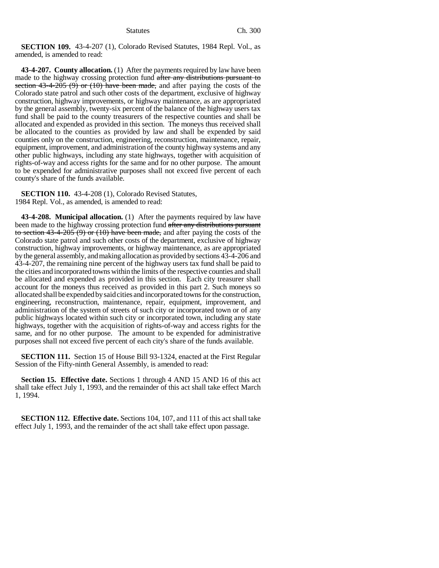**SECTION 109.** 43-4-207 (1), Colorado Revised Statutes, 1984 Repl. Vol., as amended, is amended to read:

**43-4-207. County allocation.** (1) After the payments required by law have been made to the highway crossing protection fund after any distributions pursuant to section  $43-4-205$  (9) or (10) have been made, and after paying the costs of the Colorado state patrol and such other costs of the department, exclusive of highway construction, highway improvements, or highway maintenance, as are appropriated by the general assembly, twenty-six percent of the balance of the highway users tax fund shall be paid to the county treasurers of the respective counties and shall be allocated and expended as provided in this section. The moneys thus received shall be allocated to the counties as provided by law and shall be expended by said counties only on the construction, engineering, reconstruction, maintenance, repair, equipment, improvement, and administration of the county highway systems and any other public highways, including any state highways, together with acquisition of rights-of-way and access rights for the same and for no other purpose. The amount to be expended for administrative purposes shall not exceed five percent of each county's share of the funds available.

**SECTION 110.** 43-4-208 (1), Colorado Revised Statutes, 1984 Repl. Vol., as amended, is amended to read:

**43-4-208. Municipal allocation.** (1) After the payments required by law have been made to the highway crossing protection fund after any distributions pursuant to section  $43-4-205(9)$  or  $(10)$  have been made, and after paying the costs of the Colorado state patrol and such other costs of the department, exclusive of highway construction, highway improvements, or highway maintenance, as are appropriated by the general assembly, and making allocation as provided by sections 43-4-206 and 43-4-207, the remaining nine percent of the highway users tax fund shall be paid to the cities and incorporated towns within the limits of the respective counties and shall be allocated and expended as provided in this section. Each city treasurer shall account for the moneys thus received as provided in this part 2. Such moneys so allocated shall be expended by said cities and incorporated towns for the construction, engineering, reconstruction, maintenance, repair, equipment, improvement, and administration of the system of streets of such city or incorporated town or of any public highways located within such city or incorporated town, including any state highways, together with the acquisition of rights-of-way and access rights for the same, and for no other purpose. The amount to be expended for administrative purposes shall not exceed five percent of each city's share of the funds available.

**SECTION 111.** Section 15 of House Bill 93-1324, enacted at the First Regular Session of the Fifty-ninth General Assembly, is amended to read:

**Section 15. Effective date.** Sections 1 through 4 AND 15 AND 16 of this act shall take effect July 1, 1993, and the remainder of this act shall take effect March 1, 1994.

**SECTION 112. Effective date.** Sections 104, 107, and 111 of this act shall take effect July 1, 1993, and the remainder of the act shall take effect upon passage.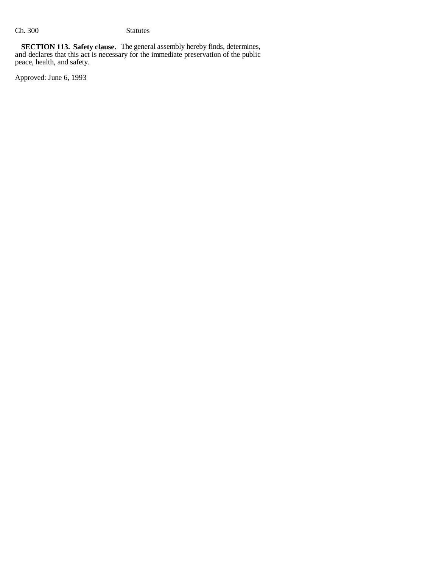**SECTION 113. Safety clause.** The general assembly hereby finds, determines, and declares that this act is necessary for the immediate preservation of the public peace, health, and safety.

Approved: June 6, 1993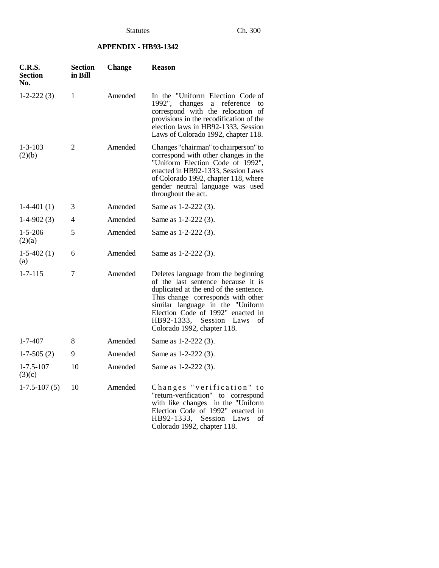# **APPENDIX - HB93-1342**

| <b>C.R.S.</b><br>Section<br>No. | Section<br>in Bill | <b>Change</b> | <b>Reason</b>                                                                                                                                                                                                                                                                                      |
|---------------------------------|--------------------|---------------|----------------------------------------------------------------------------------------------------------------------------------------------------------------------------------------------------------------------------------------------------------------------------------------------------|
| $1-2-222(3)$                    | 1                  | Amended       | In the "Uniform Election Code of<br>1992",<br>changes<br>a<br>reference<br>to<br>correspond with the relocation of<br>provisions in the recodification of the<br>election laws in HB92-1333, Session<br>Laws of Colorado 1992, chapter 118.                                                        |
| $1 - 3 - 103$<br>(2)(b)         | 2                  | Amended       | Changes "chairman" to chairperson" to<br>correspond with other changes in the<br>"Uniform Election Code of 1992",<br>enacted in HB92-1333, Session Laws<br>of Colorado 1992, chapter 118, where<br>gender neutral language was used<br>throughout the act.                                         |
| $1-4-401(1)$                    | 3                  | Amended       | Same as 1-2-222 (3).                                                                                                                                                                                                                                                                               |
| $1-4-902(3)$                    | 4                  | Amended       | Same as 1-2-222 (3).                                                                                                                                                                                                                                                                               |
| $1 - 5 - 206$<br>(2)(a)         | 5                  | Amended       | Same as 1-2-222 (3).                                                                                                                                                                                                                                                                               |
| $1-5-402(1)$<br>(a)             | 6                  | Amended       | Same as 1-2-222 (3).                                                                                                                                                                                                                                                                               |
| $1 - 7 - 115$                   | 7                  | Amended       | Deletes language from the beginning<br>of the last sentence because it is<br>duplicated at the end of the sentence.<br>This change corresponds with other<br>similar language in the "Uniform<br>Election Code of 1992" enacted in<br>HB92-1333, Session Laws<br>οf<br>Colorado 1992, chapter 118. |
| $1 - 7 - 407$                   | 8                  | Amended       | Same as 1-2-222 (3).                                                                                                                                                                                                                                                                               |
| $1-7-505(2)$                    | 9                  | Amended       | Same as 1-2-222 (3).                                                                                                                                                                                                                                                                               |
| $1 - 7.5 - 107$<br>(3)(c)       | 10                 | Amended       | Same as 1-2-222 (3).                                                                                                                                                                                                                                                                               |
| $1-7.5-107(5)$                  | 10                 | Amended       | Changes "verification" to<br>"return-verification" to correspond<br>in the "Uniform<br>with like changes<br>Election Code of 1992" enacted in<br>HB92-1333, Session Laws<br>οf<br>Colorado 1992, chapter 118.                                                                                      |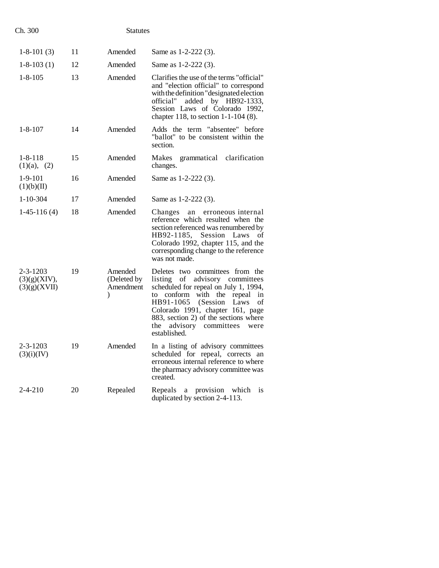| Ch. 300                                        |    | <b>Statutes</b>                                      |                                                                                                                                                                                                                                                                                                                                 |
|------------------------------------------------|----|------------------------------------------------------|---------------------------------------------------------------------------------------------------------------------------------------------------------------------------------------------------------------------------------------------------------------------------------------------------------------------------------|
| $1-8-101(3)$                                   | 11 | Amended                                              | Same as 1-2-222 (3).                                                                                                                                                                                                                                                                                                            |
| $1 - 8 - 103(1)$                               | 12 | Amended                                              | Same as 1-2-222 (3).                                                                                                                                                                                                                                                                                                            |
| $1 - 8 - 105$                                  | 13 | Amended                                              | Clarifies the use of the terms "official"<br>and "election official" to correspond<br>with the definition "designated election"<br>official"<br>added by HB92-1333,<br>Session Laws of Colorado 1992,<br>chapter 118, to section $1-1-104$ (8).                                                                                 |
| $1 - 8 - 107$                                  | 14 | Amended                                              | Adds the term "absentee" before<br>"ballot" to be consistent within the<br>section.                                                                                                                                                                                                                                             |
| $1 - 8 - 118$<br>(1)(a), (2)                   | 15 | Amended                                              | grammatical clarification<br>Makes<br>changes.                                                                                                                                                                                                                                                                                  |
| $1-9-101$<br>(1)(b)(II)                        | 16 | Amended                                              | Same as 1-2-222 (3).                                                                                                                                                                                                                                                                                                            |
| $1 - 10 - 304$                                 | 17 | Amended                                              | Same as 1-2-222 (3).                                                                                                                                                                                                                                                                                                            |
| $1-45-116(4)$                                  | 18 | Amended                                              | Changes an<br>erroneous internal<br>reference which resulted when the<br>section referenced was renumbered by<br>HB92-1185, Session Laws<br>οf<br>Colorado 1992, chapter 115, and the<br>corresponding change to the reference<br>was not made.                                                                                 |
| $2 - 3 - 1203$<br>(3)(g)(XIV),<br>(3)(g)(XVII) | 19 | Amended<br>(Deleted by<br>Amendment<br>$\mathcal{E}$ | Deletes two committees from the<br>listing of advisory committees<br>scheduled for repeal on July 1, 1994,<br>with the<br>repeal<br>conform<br>to<br>in<br>HB91-1065<br>(Session)<br>Laws<br>οf<br>Colorado 1991, chapter 161, page<br>883, section 2) of the sections where<br>the advisory committees<br>were<br>established. |
| 2-3-1203<br>(3)(i)(IV)                         | 19 | Amended                                              | In a listing of advisory committees<br>scheduled for repeal, corrects<br>an<br>erroneous internal reference to where<br>the pharmacy advisory committee was<br>created.                                                                                                                                                         |
| $2 - 4 - 210$                                  | 20 | Repealed                                             | Repeals<br>provision<br>a<br>which<br>1S<br>duplicated by section 2-4-113.                                                                                                                                                                                                                                                      |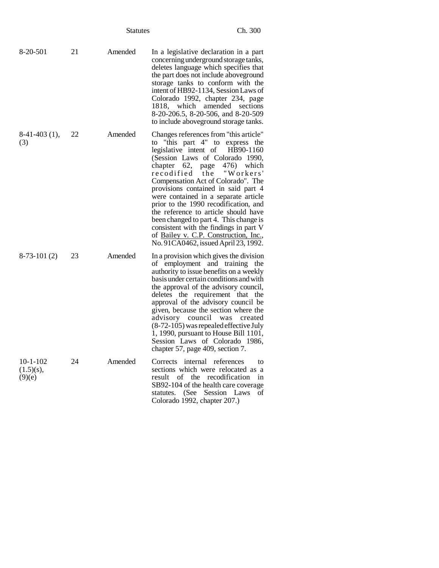|                                      |    | <b>Statutes</b> |                                                                                                                                                                                                                                                                                                                                                                                                                                                                                                                                                           | Ch. 300                              |
|--------------------------------------|----|-----------------|-----------------------------------------------------------------------------------------------------------------------------------------------------------------------------------------------------------------------------------------------------------------------------------------------------------------------------------------------------------------------------------------------------------------------------------------------------------------------------------------------------------------------------------------------------------|--------------------------------------|
| 8-20-501                             | 21 | Amended         | In a legislative declaration in a part<br>concerning underground storage tanks,<br>deletes language which specifies that<br>the part does not include above ground<br>storage tanks to conform with the<br>intent of HB92-1134, Session Laws of<br>Colorado 1992, chapter 234, page<br>1818, which amended sections<br>8-20-206.5, 8-20-506, and 8-20-509<br>to include aboveground storage tanks.                                                                                                                                                        |                                      |
| $8-41-403$ (1),<br>(3)               | 22 | Amended         | Changes references from "this article"<br>to "this part 4" to express the<br>legislative intent of<br>(Session Laws of Colorado 1990,<br>chapter 62,<br>page<br>recodified the<br>Compensation Act of Colorado". The<br>provisions contained in said part 4<br>were contained in a separate article<br>prior to the 1990 recodification, and<br>the reference to article should have<br>been changed to part 4. This change is<br>consistent with the findings in part V<br>of Bailey v. C.P. Construction, Inc.,<br>No. 91CA0462, issued April 23, 1992. | HB90-1160<br>476) which<br>"Workers' |
| $8-73-101(2)$                        | 23 | Amended         | In a provision which gives the division<br>of employment and training the<br>authority to issue benefits on a weekly<br>basis under certain conditions and with<br>the approval of the advisory council,<br>deletes the requirement that the<br>approval of the advisory council be<br>given, because the section where the<br>advisory council<br>was<br>$(8-72-105)$ was repealed effective July<br>1, 1990, pursuant to House Bill 1101,<br>Session Laws of Colorado 1986,<br>chapter 57, page 409, section 7.                                         | created                              |
| $10-1-102$<br>$(1.5)(s)$ ,<br>(9)(e) | 24 | Amended         | Corrects internal references<br>sections which were relocated as a<br>the recodification<br>result<br>of<br>SB92-104 of the health care coverage<br>statutes. (See Session Laws<br>Colorado 1992, chapter 207.)                                                                                                                                                                                                                                                                                                                                           | to<br>in<br>οf                       |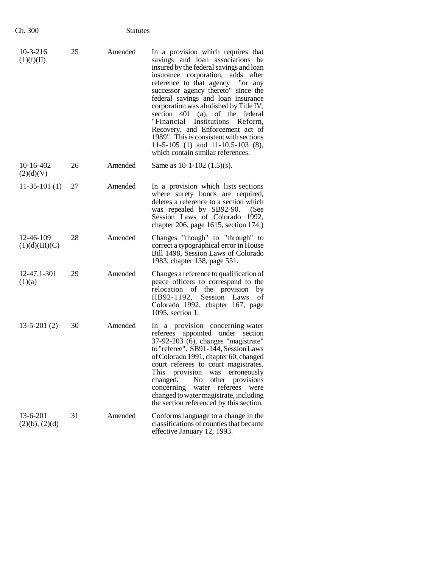| Ch. 300                               | <b>Statutes</b> |         |                                                                                                                                                                                                                                                                                                                                                                                                                                                                                                                                                  |
|---------------------------------------|-----------------|---------|--------------------------------------------------------------------------------------------------------------------------------------------------------------------------------------------------------------------------------------------------------------------------------------------------------------------------------------------------------------------------------------------------------------------------------------------------------------------------------------------------------------------------------------------------|
| $10-3-216$<br>(1)(f)(II)              | 25              | Amended | In a provision which requires that<br>savings and loan associations be<br>insured by the federal savings and loan<br>insurance corporation, adds after<br>reference to that agency "or any<br>successor agency thereto" since the<br>federal savings and loan insurance<br>corporation was abolished by Title IV,<br>section 401 (a), of the federal<br>"Financial Institutions Reform,<br>Recovery, and Enforcement act of<br>1989". This is consistent with sections<br>11-5-105 (1) and 11-10.5-103 (8),<br>which contain similar references. |
| $10-16-402$<br>(2)(d)(V)              | 26              | Amended | Same as $10-1-102$ $(1.5)(s)$ .                                                                                                                                                                                                                                                                                                                                                                                                                                                                                                                  |
| $11-35-101(1)$                        | 27              | Amended | In a provision which lists sections<br>where surety bonds are required,<br>deletes a reference to a section which<br>was repealed by SB92-90.<br>(See<br>Session Laws of Colorado 1992,<br>chapter 206, page 1615, section 174.)                                                                                                                                                                                                                                                                                                                 |
| 12-46-109<br>(1)(d)(III)(C)           | 28              | Amended | Changes "though" to "through" to<br>correct a typographical error in House<br>Bill 1498, Session Laws of Colorado<br>1983, chapter 138, page 551.                                                                                                                                                                                                                                                                                                                                                                                                |
| 12-47.1-301<br>(1)(a)                 | 29              | Amended | Changes a reference to qualification of<br>peace officers to correspond to the<br>relocation of the provision<br>by<br>HB92-1192, Session Laws<br>of<br>Colorado 1992, chapter 167, page<br>1095, section 1.                                                                                                                                                                                                                                                                                                                                     |
| $13 - 5 - 201(2)$                     | 30              | Amended | In a provision concerning water<br>appointed under section<br>referees<br>37-92-203 (6), changes "magistrate"<br>to "referee". SB91-144, Session Laws<br>of Colorado 1991, chapter 60, changed<br>court referees to court magistrates.<br>This<br>provision was<br>erroneously<br>changed.<br>N <sub>0</sub><br>other provisions<br>referees<br>concerning<br>water<br>were<br>changed to water magistrate, including<br>the section referenced by this section.                                                                                 |
| $13 - 6 - 201$<br>$(2)(b)$ , $(2)(d)$ | 31              | Amended | Conforms language to a change in the<br>classifications of counties that became<br>effective January 12, 1993.                                                                                                                                                                                                                                                                                                                                                                                                                                   |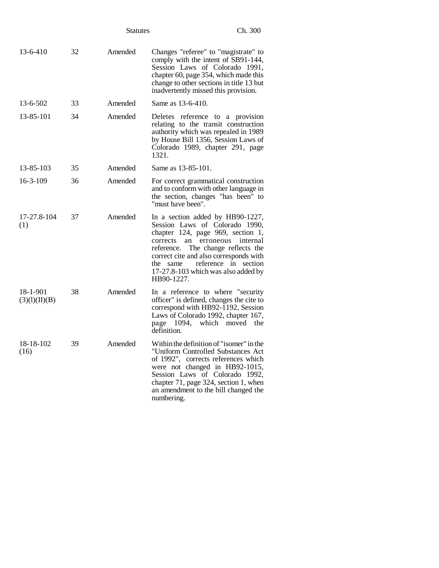|                           |    | <b>Statutes</b> | Ch. 300                                                                                                                                                                                                                                                                                                                        |
|---------------------------|----|-----------------|--------------------------------------------------------------------------------------------------------------------------------------------------------------------------------------------------------------------------------------------------------------------------------------------------------------------------------|
| $13 - 6 - 410$            | 32 | Amended         | Changes "referee" to "magistrate" to<br>comply with the intent of SB91-144,<br>Session Laws of Colorado 1991,<br>chapter 60, page 354, which made this<br>change to other sections in title 13 but<br>inadvertently missed this provision.                                                                                     |
| $13 - 6 - 502$            | 33 | Amended         | Same as 13-6-410.                                                                                                                                                                                                                                                                                                              |
| 13-85-101                 | 34 | Amended         | Deletes reference to a provision<br>relating to the transit construction<br>authority which was repealed in 1989<br>by House Bill 1356, Session Laws of<br>Colorado 1989, chapter 291, page<br>1321.                                                                                                                           |
| 13-85-103                 | 35 | Amended         | Same as 13-85-101.                                                                                                                                                                                                                                                                                                             |
| $16 - 3 - 109$            | 36 | Amended         | For correct grammatical construction<br>and to conform with other language in<br>the section, changes "has been" to<br>"must have been".                                                                                                                                                                                       |
| 17-27.8-104<br>(1)        | 37 | Amended         | In a section added by HB90-1227,<br>Session Laws of Colorado 1990,<br>chapter 124, page 969, section 1,<br>corrects<br>erroneous<br>an<br>internal<br>The change reflects the<br>reference.<br>correct cite and also corresponds with<br>reference in section<br>the same<br>17-27.8-103 which was also added by<br>HB90-1227. |
| 18-1-901<br>(3)(1)(II)(B) | 38 | Amended         | In a reference to where "security"<br>officer" is defined, changes the cite to<br>correspond with HB92-1192, Session<br>Laws of Colorado 1992, chapter 167,<br>page 1094, which moved the<br>definition.                                                                                                                       |
| 18-18-102<br>(16)         | 39 | Amended         | Within the definition of "isomer" in the<br>"Uniform Controlled Substances Act<br>of 1992", corrects references which<br>were not changed in HB92-1015,<br>Session Laws of Colorado 1992,<br>chapter 71, page 324, section 1, when<br>an amendment to the bill changed the<br>numbering.                                       |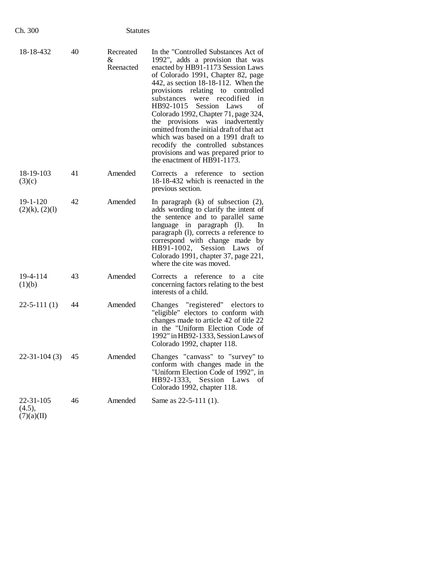| 18-18-432                         | 40 | Recreated<br>&.<br>Reenacted | In the "Controlled Substances Act of<br>1992", adds a provision that was<br>enacted by HB91-1173 Session Laws<br>of Colorado 1991, Chapter 82, page<br>442, as section $18-18-112$ . When the<br>provisions relating to controlled<br>were recodified<br>substances<br>in<br>HB92-1015 Session Laws<br>of<br>Colorado 1992, Chapter 71, page 324,<br>the provisions was inadvertently<br>omitted from the initial draft of that act<br>which was based on a 1991 draft to<br>recodify the controlled substances<br>provisions and was prepared prior to<br>the enactment of HB91-1173. |
|-----------------------------------|----|------------------------------|----------------------------------------------------------------------------------------------------------------------------------------------------------------------------------------------------------------------------------------------------------------------------------------------------------------------------------------------------------------------------------------------------------------------------------------------------------------------------------------------------------------------------------------------------------------------------------------|
| 18-19-103<br>(3)(c)               | 41 | Amended                      | a reference to section<br>Corrects<br>18-18-432 which is reenacted in the<br>previous section.                                                                                                                                                                                                                                                                                                                                                                                                                                                                                         |
| $19 - 1 - 120$<br>(2)(k), (2)(l)  | 42 | Amended                      | In paragraph $(k)$ of subsection $(2)$ ,<br>adds wording to clarify the intent of<br>the sentence and to parallel same<br>language in paragraph (1).<br>In<br>paragraph (1), corrects a reference to<br>correspond with change made by<br>HB91-1002, Session Laws<br>of<br>Colorado 1991, chapter 37, page 221,<br>where the cite was moved.                                                                                                                                                                                                                                           |
| 19-4-114<br>(1)(b)                | 43 | Amended                      | Corrects a reference to<br>cite<br>a<br>concerning factors relating to the best<br>interests of a child.                                                                                                                                                                                                                                                                                                                                                                                                                                                                               |
| $22 - 5 - 111(1)$                 | 44 | Amended                      | Changes "registered" electors to<br>"eligible" electors to conform with<br>changes made to article 42 of title 22<br>in the "Uniform Election Code of<br>1992" in HB92-1333, Session Laws of<br>Colorado 1992, chapter 118.                                                                                                                                                                                                                                                                                                                                                            |
| $22 - 31 - 104(3)$                | 45 | Amended                      | Changes "canvass" to "survey" to<br>conform with changes made in the<br>"Uniform Election Code of 1992", in<br>HB92-1333, Session Laws<br>of<br>Colorado 1992, chapter 118.                                                                                                                                                                                                                                                                                                                                                                                                            |
| 22-31-105<br>(4.5),<br>(7)(a)(II) | 46 | Amended                      | Same as 22-5-111 (1).                                                                                                                                                                                                                                                                                                                                                                                                                                                                                                                                                                  |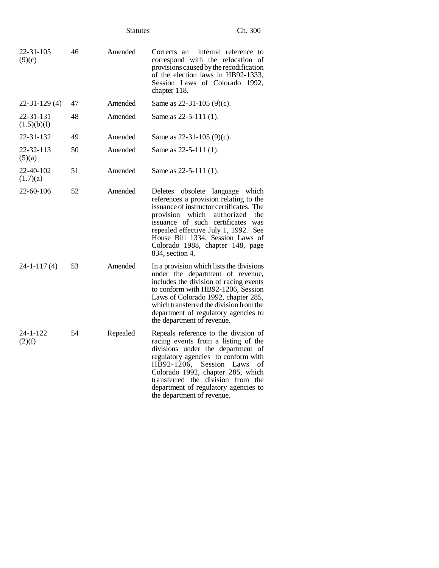|                          |    | <b>Statutes</b> | Ch. 300                                                                                                                                                                                                                                                                                                                                    |
|--------------------------|----|-----------------|--------------------------------------------------------------------------------------------------------------------------------------------------------------------------------------------------------------------------------------------------------------------------------------------------------------------------------------------|
| 22-31-105<br>(9)(c)      | 46 | Amended         | internal reference to<br>Corrects an<br>correspond with the relocation of<br>provisions caused by the recodification<br>of the election laws in HB92-1333,<br>Session Laws of Colorado 1992,<br>chapter 118.                                                                                                                               |
| $22 - 31 - 129(4)$       | 47 | Amended         | Same as $22-31-105(9)(c)$ .                                                                                                                                                                                                                                                                                                                |
| 22-31-131<br>(1.5)(b)(I) | 48 | Amended         | Same as $22-5-111(1)$ .                                                                                                                                                                                                                                                                                                                    |
| 22-31-132                | 49 | Amended         | Same as $22-31-105$ (9)(c).                                                                                                                                                                                                                                                                                                                |
| 22-32-113<br>(5)(a)      | 50 | Amended         | Same as $22-5-111(1)$ .                                                                                                                                                                                                                                                                                                                    |
| 22-40-102<br>(1.7)(a)    | 51 | Amended         | Same as 22-5-111 (1).                                                                                                                                                                                                                                                                                                                      |
| 22-60-106                | 52 | Amended         | Deletes obsolete language which<br>references a provision relating to the<br>issuance of instructor certificates. The<br>provision which authorized<br>the<br>issuance of such certificates was<br>repealed effective July 1, 1992. See<br>House Bill 1334, Session Laws of<br>Colorado 1988, chapter 148, page<br>834, section 4.         |
| 24-1-117(4)              | 53 | Amended         | In a provision which lists the divisions<br>under the department of revenue,<br>includes the division of racing events<br>to conform with HB92-1206, Session<br>Laws of Colorado 1992, chapter 285,<br>which transferred the division from the<br>department of regulatory agencies to<br>the department of revenue.                       |
| 24-1-122<br>(2)(f)       | 54 | Repealed        | Repeals reference to the division of<br>racing events from a listing of the<br>divisions under the department of<br>regulatory agencies to conform with<br>HB92-1206, Session Laws<br>- of<br>Colorado 1992, chapter 285, which<br>transferred the division from the<br>department of regulatory agencies to<br>the department of revenue. |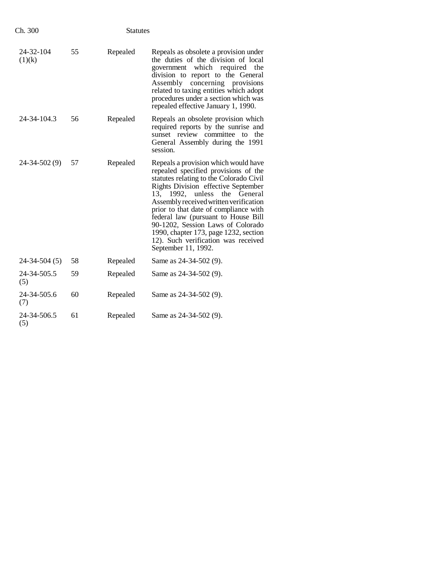| Ch. 300             | <b>Statutes</b> |          |                                                                                                                                                                                                                                                                                                                                                                                                                                                                         |
|---------------------|-----------------|----------|-------------------------------------------------------------------------------------------------------------------------------------------------------------------------------------------------------------------------------------------------------------------------------------------------------------------------------------------------------------------------------------------------------------------------------------------------------------------------|
| 24-32-104<br>(1)(k) | 55              | Repealed | Repeals as obsolete a provision under<br>the duties of the division of local<br>government which required<br>the<br>division to report to the General<br>Assembly concerning provisions<br>related to taxing entities which adopt<br>procedures under a section which was<br>repealed effective January 1, 1990.                                                                                                                                                        |
| 24-34-104.3         | 56              | Repealed | Repeals an obsolete provision which<br>required reports by the sunrise and<br>sunset review committee to<br>the<br>General Assembly during the 1991<br>session.                                                                                                                                                                                                                                                                                                         |
| 24-34-502 (9)       | 57              | Repealed | Repeals a provision which would have<br>repealed specified provisions of the<br>statutes relating to the Colorado Civil<br>Rights Division effective September<br>13, 1992, unless<br>the General<br>Assembly received written verification<br>prior to that date of compliance with<br>federal law (pursuant to House Bill<br>90-1202, Session Laws of Colorado<br>1990, chapter 173, page 1232, section<br>12). Such verification was received<br>September 11, 1992. |
| 24-34-504 (5)       | 58              | Repealed | Same as 24-34-502 (9).                                                                                                                                                                                                                                                                                                                                                                                                                                                  |
| 24-34-505.5<br>(5)  | 59              | Repealed | Same as 24-34-502 (9).                                                                                                                                                                                                                                                                                                                                                                                                                                                  |
| 24-34-505.6<br>(7)  | 60              | Repealed | Same as 24-34-502 (9).                                                                                                                                                                                                                                                                                                                                                                                                                                                  |
| 24-34-506.5<br>(5)  | 61              | Repealed | Same as 24-34-502 (9).                                                                                                                                                                                                                                                                                                                                                                                                                                                  |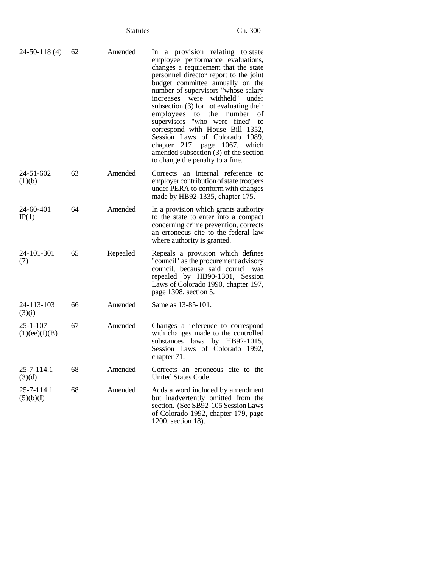| $24-50-118(4)$                  | 62 | Amended  | In a provision relating to state<br>employee performance evaluations,<br>changes a requirement that the state<br>personnel director report to the joint<br>budget committee annually on the<br>number of supervisors "whose salary<br>were withheld"<br>increases<br>under<br>subsection $(3)$ for not evaluating their<br>employees<br>the<br>number<br>to<br>οf<br>supervisors "who were fined" to<br>correspond with House Bill 1352,<br>Session Laws of Colorado 1989,<br>chapter 217, page 1067, which<br>amended subsection (3) of the section<br>to change the penalty to a fine. |
|---------------------------------|----|----------|------------------------------------------------------------------------------------------------------------------------------------------------------------------------------------------------------------------------------------------------------------------------------------------------------------------------------------------------------------------------------------------------------------------------------------------------------------------------------------------------------------------------------------------------------------------------------------------|
| 24-51-602<br>(1)(b)             | 63 | Amended  | Corrects an internal reference to<br>employer contribution of state troopers<br>under PERA to conform with changes<br>made by HB92-1335, chapter 175.                                                                                                                                                                                                                                                                                                                                                                                                                                    |
| 24-60-401<br>IP(1)              | 64 | Amended  | In a provision which grants authority<br>to the state to enter into a compact<br>concerning crime prevention, corrects<br>an erroneous cite to the federal law<br>where authority is granted.                                                                                                                                                                                                                                                                                                                                                                                            |
| 24-101-301<br>(7)               | 65 | Repealed | Repeals a provision which defines<br>"council" as the procurement advisory<br>council, because said council was<br>repealed by HB90-1301, Session<br>Laws of Colorado 1990, chapter 197,<br>page 1308, section 5.                                                                                                                                                                                                                                                                                                                                                                        |
| 24-113-103<br>(3)(i)            | 66 | Amended  | Same as 13-85-101.                                                                                                                                                                                                                                                                                                                                                                                                                                                                                                                                                                       |
| $25 - 1 - 107$<br>(1)(ee)(I)(B) | 67 | Amended  | Changes a reference to correspond<br>with changes made to the controlled<br>substances laws by HB92-1015,<br>Session Laws of Colorado 1992,<br>chapter 71.                                                                                                                                                                                                                                                                                                                                                                                                                               |
| 25-7-114.1<br>(3)(d)            | 68 | Amended  | Corrects an erroneous cite to the<br>United States Code.                                                                                                                                                                                                                                                                                                                                                                                                                                                                                                                                 |
| 25-7-114.1<br>(5)(b)(I)         | 68 | Amended  | Adds a word included by amendment<br>but inadvertently omitted from the<br>section. (See SB92-105 Session Laws<br>of Colorado 1992, chapter 179, page<br>1200, section 18).                                                                                                                                                                                                                                                                                                                                                                                                              |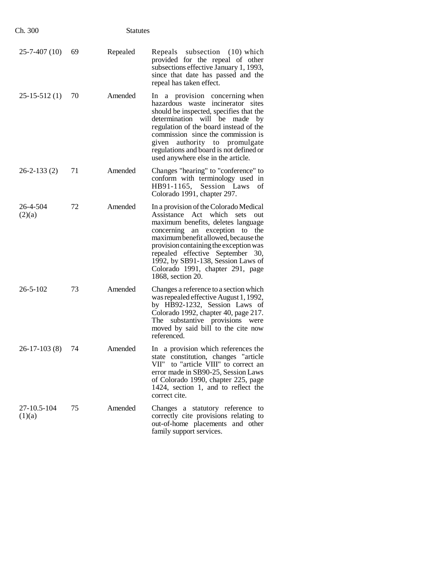| Ch. 300               |    | <b>Statutes</b> |                                                                                                                                                                                                                                                                                                                                                                               |
|-----------------------|----|-----------------|-------------------------------------------------------------------------------------------------------------------------------------------------------------------------------------------------------------------------------------------------------------------------------------------------------------------------------------------------------------------------------|
| $25 - 7 - 407(10)$    | 69 | Repealed        | Repeals subsection (10) which<br>provided for the repeal of other<br>subsections effective January 1, 1993,<br>since that date has passed and the<br>repeal has taken effect.                                                                                                                                                                                                 |
| $25-15-512(1)$        | 70 | Amended         | In a provision concerning when<br>hazardous waste incinerator sites<br>should be inspected, specifies that the<br>determination will be made by<br>regulation of the board instead of the<br>commission since the commission is<br>given authority to promulgate<br>regulations and board is not defined or<br>used anywhere else in the article.                             |
| $26 - 2 - 133(2)$     | 71 | Amended         | Changes "hearing" to "conference" to<br>conform with terminology used in<br>HB91-1165, Session Laws<br>of<br>Colorado 1991, chapter 297.                                                                                                                                                                                                                                      |
| 26-4-504<br>(2)(a)    | 72 | Amended         | In a provision of the Colorado Medical<br>Assistance Act which<br>sets<br>out<br>maximum benefits, deletes language<br>concerning an exception to<br>the<br>maximum benefit allowed, because the<br>provision containing the exception was<br>repealed effective September 30,<br>1992, by SB91-138, Session Laws of<br>Colorado 1991, chapter 291, page<br>1868, section 20. |
| $26 - 5 - 102$        | 73 | Amended         | Changes a reference to a section which<br>was repealed effective August 1, 1992,<br>by HB92-1232, Session Laws of<br>Colorado 1992, chapter 40, page 217.<br>The substantive provisions were<br>moved by said bill to the cite now<br>referenced.                                                                                                                             |
| 26-17-103 (8) 74      |    | Amended         | In a provision which references the<br>state constitution, changes "article<br>VII" to "article VIII" to correct an<br>error made in SB90-25, Session Laws<br>of Colorado 1990, chapter 225, page<br>1424, section 1, and to reflect the<br>correct cite.                                                                                                                     |
| 27-10.5-104<br>(1)(a) | 75 | Amended         | Changes a statutory reference to<br>correctly cite provisions relating to<br>out-of-home placements and other<br>family support services.                                                                                                                                                                                                                                     |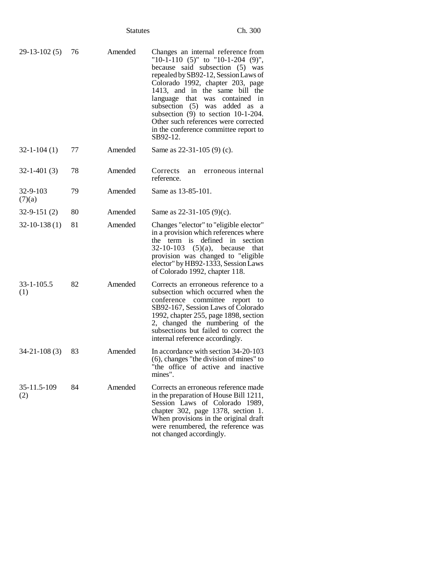|                          |    | <b>Statutes</b> | Ch. 300                                                                                                                                                                                                                                                                                                                                                                                                                                                     |
|--------------------------|----|-----------------|-------------------------------------------------------------------------------------------------------------------------------------------------------------------------------------------------------------------------------------------------------------------------------------------------------------------------------------------------------------------------------------------------------------------------------------------------------------|
| $29-13-102(5)$           | 76 | Amended         | Changes an internal reference from<br>"10-1-110 $(5)$ " to "10-1-204 $(9)$ ",<br>because said subsection (5) was<br>repealed by SB92-12, Session Laws of<br>Colorado 1992, chapter 203, page<br>1413, and in the same bill the<br>language that<br>was<br>contained<br>1n<br>subsection $(5)$ was<br>added as<br>a<br>subsection $(9)$ to section $10-1-204$ .<br>Other such references were corrected<br>in the conference committee report to<br>SB92-12. |
| $32 - 1 - 104(1)$        | 77 | Amended         | Same as 22-31-105 (9) (c).                                                                                                                                                                                                                                                                                                                                                                                                                                  |
| $32 - 1 - 401(3)$        | 78 | Amended         | Corrects<br>erroneous internal<br>an<br>reference.                                                                                                                                                                                                                                                                                                                                                                                                          |
| $32 - 9 - 103$<br>(7)(a) | 79 | Amended         | Same as 13-85-101.                                                                                                                                                                                                                                                                                                                                                                                                                                          |
| $32 - 9 - 151(2)$        | 80 | Amended         | Same as $22-31-105$ (9)(c).                                                                                                                                                                                                                                                                                                                                                                                                                                 |
| $32 - 10 - 138(1)$       | 81 | Amended         | Changes "elector" to "eligible elector"<br>in a provision which references where<br>defined in<br>section<br>the<br>term is<br>32-10-103 $(5)(a)$ , because<br>that<br>provision was changed to "eligible<br>elector" by HB92-1333, Session Laws<br>of Colorado 1992, chapter 118.                                                                                                                                                                          |
| $33 - 1 - 105.5$<br>(1)  | 82 | Amended         | Corrects an erroneous reference to a<br>subsection which occurred when the<br>committee<br>conference<br>report<br>to<br>SB92-167, Session Laws of Colorado<br>1992, chapter 255, page 1898, section<br>2, changed the numbering of the<br>subsections but failed to correct the<br>internal reference accordingly.                                                                                                                                         |
| $34 - 21 - 108(3)$       | 83 | Amended         | In accordance with section 34-20-103<br>(6), changes "the division of mines" to<br>"the office of active and inactive<br>mines".                                                                                                                                                                                                                                                                                                                            |
| 35-11.5-109<br>(2)       | 84 | Amended         | Corrects an erroneous reference made<br>in the preparation of House Bill 1211,<br>Session Laws of Colorado 1989,<br>chapter 302, page 1378, section 1.<br>When provisions in the original draft<br>were renumbered, the reference was<br>not changed accordingly.                                                                                                                                                                                           |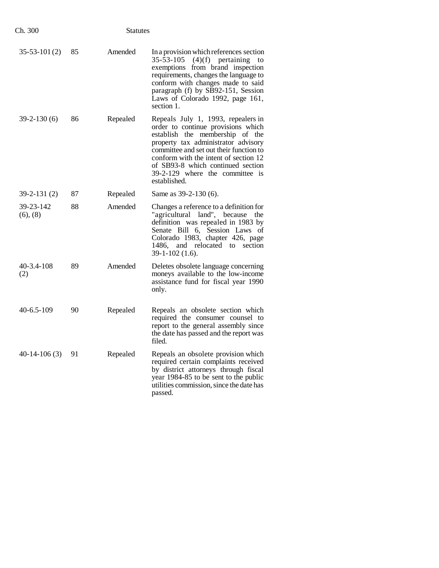| Ch. 300                 |    | <b>Statutes</b> |                                                                                                                                                                                                                                                                                                                                |
|-------------------------|----|-----------------|--------------------------------------------------------------------------------------------------------------------------------------------------------------------------------------------------------------------------------------------------------------------------------------------------------------------------------|
| $35-53-101(2)$          | 85 | Amended         | In a provision which references section<br>35-53-105<br>$(4)(f)$ pertaining<br>to<br>exemptions from brand inspection<br>requirements, changes the language to<br>conform with changes made to said<br>paragraph (f) by SB92-151, Session<br>Laws of Colorado 1992, page 161,<br>section 1.                                    |
| $39-2-130(6)$           | 86 | Repealed        | Repeals July 1, 1993, repealers in<br>order to continue provisions which<br>establish the membership of the<br>property tax administrator advisory<br>committee and set out their function to<br>conform with the intent of section 12<br>of SB93-8 which continued section<br>39-2-129 where the committee is<br>established. |
| $39 - 2 - 131(2)$       | 87 | Repealed        | Same as 39-2-130 (6).                                                                                                                                                                                                                                                                                                          |
| 39-23-142<br>(6), (8)   | 88 | Amended         | Changes a reference to a definition for<br>"agricultural land", because<br>the<br>definition was repealed in 1983 by<br>Senate Bill 6, Session Laws of<br>Colorado 1983, chapter 426, page<br>and relocated to section<br>1486.<br>$39-1-102(1.6)$ .                                                                           |
| $40 - 3.4 - 108$<br>(2) | 89 | Amended         | Deletes obsolete language concerning<br>moneys available to the low-income<br>assistance fund for fiscal year 1990<br>only.                                                                                                                                                                                                    |
| $40 - 6.5 - 109$        | 90 | Repealed        | Repeals an obsolete section which<br>required the consumer counsel to<br>report to the general assembly since<br>the date has passed and the report was<br>filed.                                                                                                                                                              |
| $40-14-106(3)$          | 91 | Repealed        | Repeals an obsolete provision which<br>required certain complaints received<br>by district attorneys through fiscal<br>year 1984-85 to be sent to the public<br>utilities commission, since the date has<br>passed.                                                                                                            |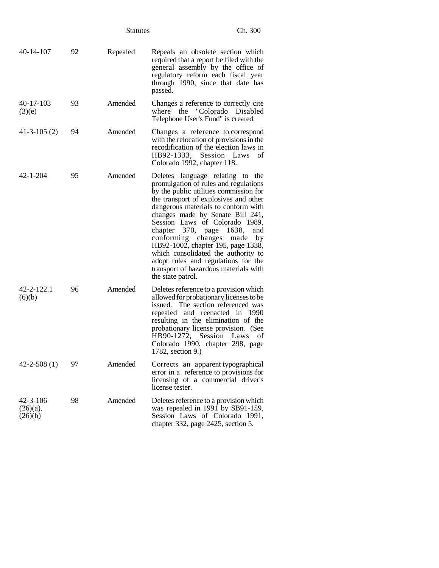|                                          |    | <b>Statutes</b> | Ch. 300                                                                                                                                                                                                                                                                                                                                                                                                                                                                                                                                 |
|------------------------------------------|----|-----------------|-----------------------------------------------------------------------------------------------------------------------------------------------------------------------------------------------------------------------------------------------------------------------------------------------------------------------------------------------------------------------------------------------------------------------------------------------------------------------------------------------------------------------------------------|
| $40 - 14 - 107$                          | 92 | Repealed        | Repeals an obsolete section which<br>required that a report be filed with the<br>general assembly by the office of<br>regulatory reform each fiscal year<br>through 1990, since that date has<br>passed.                                                                                                                                                                                                                                                                                                                                |
| $40 - 17 - 103$<br>(3)(e)                | 93 | Amended         | Changes a reference to correctly cite<br>where the "Colorado Disabled<br>Telephone User's Fund" is created.                                                                                                                                                                                                                                                                                                                                                                                                                             |
| $41 - 3 - 105(2)$                        | 94 | Amended         | Changes a reference to correspond<br>with the relocation of provisions in the<br>recodification of the election laws in<br>HB92-1333, Session Laws<br>of<br>Colorado 1992, chapter 118.                                                                                                                                                                                                                                                                                                                                                 |
| $42 - 1 - 204$                           | 95 | Amended         | Deletes language relating to the<br>promulgation of rules and regulations<br>by the public utilities commission for<br>the transport of explosives and other<br>dangerous materials to conform with<br>changes made by Senate Bill 241,<br>Session Laws of Colorado 1989,<br>chapter 370, page<br>1638,<br>and<br>conforming<br>changes<br>by<br>made<br>HB92-1002, chapter 195, page 1338,<br>which consolidated the authority to<br>adopt rules and regulations for the<br>transport of hazardous materials with<br>the state patrol. |
| 42-2-122.1<br>(6)(b)                     | 96 | Amended         | Deletes reference to a provision which<br>allowed for probationary licenses to be<br>issued. The section referenced was<br>repealed and reenacted in 1990<br>resulting in the elimination of the<br>probationary license provision. (See<br>HB90-1272, Session<br>Laws<br>οf<br>Colorado 1990, chapter 298, page<br>1782, section 9.)                                                                                                                                                                                                   |
| $42 - 2 - 508(1)$                        | 97 | Amended         | Corrects an apparent typographical<br>error in a reference to provisions for<br>licensing of a commercial driver's<br>license tester.                                                                                                                                                                                                                                                                                                                                                                                                   |
| $42 - 3 - 106$<br>$(26)(a)$ ,<br>(26)(b) | 98 | Amended         | Deletes reference to a provision which<br>was repealed in 1991 by SB91-159,<br>Session Laws of Colorado 1991,<br>chapter 332, page 2425, section 5.                                                                                                                                                                                                                                                                                                                                                                                     |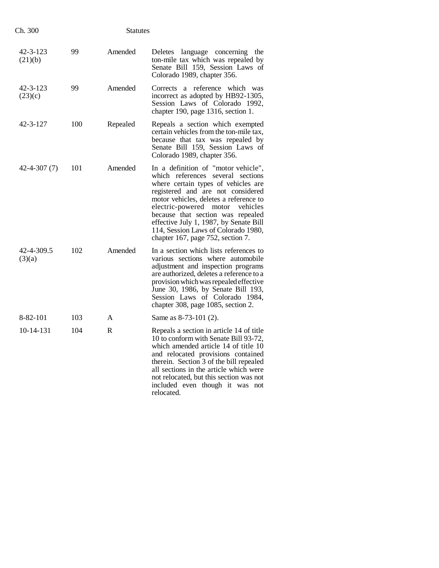| Ch. 300              |     | <b>Statutes</b> |                                                                                                                                                                                                                                                                                                                                                                                                    |  |
|----------------------|-----|-----------------|----------------------------------------------------------------------------------------------------------------------------------------------------------------------------------------------------------------------------------------------------------------------------------------------------------------------------------------------------------------------------------------------------|--|
| 42-3-123<br>(21)(b)  | 99  | Amended         | Deletes language concerning the<br>ton-mile tax which was repealed by<br>Senate Bill 159, Session Laws of<br>Colorado 1989, chapter 356.                                                                                                                                                                                                                                                           |  |
| 42-3-123<br>(23)(c)  | 99  | Amended         | Corrects a reference which was<br>incorrect as adopted by HB92-1305,<br>Session Laws of Colorado 1992,<br>chapter 190, page 1316, section 1.                                                                                                                                                                                                                                                       |  |
| 42-3-127             | 100 | Repealed        | Repeals a section which exempted<br>certain vehicles from the ton-mile tax,<br>because that tax was repealed by<br>Senate Bill 159, Session Laws of<br>Colorado 1989, chapter 356.                                                                                                                                                                                                                 |  |
| $42 - 4 - 307(7)$    | 101 | Amended         | In a definition of "motor vehicle",<br>which references several sections<br>where certain types of vehicles are<br>registered and are not considered<br>motor vehicles, deletes a reference to<br>electric-powered<br>motor<br>vehicles<br>because that section was repealed<br>effective July 1, 1987, by Senate Bill<br>114, Session Laws of Colorado 1980,<br>chapter 167, page 752, section 7. |  |
| 42-4-309.5<br>(3)(a) | 102 | Amended         | In a section which lists references to<br>various sections where automobile<br>adjustment and inspection programs<br>are authorized, deletes a reference to a<br>provision which was repealed effective<br>June 30, 1986, by Senate Bill 193,<br>Session Laws of Colorado 1984,<br>chapter 308, page 1085, section 2.                                                                              |  |
| 8-82-101             | 103 | A               | Same as $8-73-101$ (2).                                                                                                                                                                                                                                                                                                                                                                            |  |
| 10-14-131            | 104 | R               | Repeals a section in article 14 of title<br>10 to conform with Senate Bill 93-72,<br>which amended article 14 of title 10<br>and relocated provisions contained<br>therein. Section 3 of the bill repealed<br>all sections in the article which were<br>not relocated, but this section was not<br>included even though it was not<br>relocated.                                                   |  |